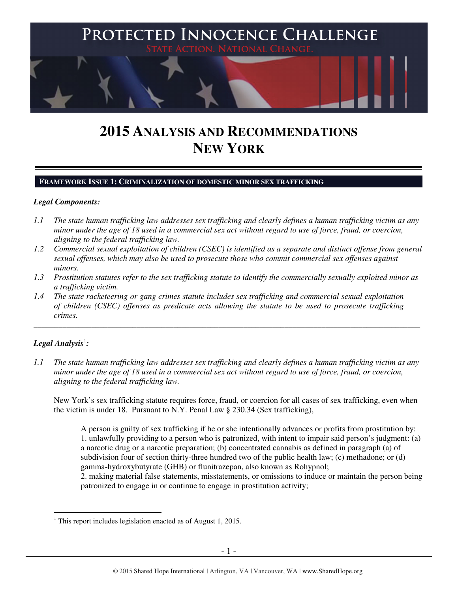

# **2015 ANALYSIS AND RECOMMENDATIONS NEW YORK**

# **FRAMEWORK ISSUE 1: CRIMINALIZATION OF DOMESTIC MINOR SEX TRAFFICKING**

## *Legal Components:*

- *1.1 The state human trafficking law addresses sex trafficking and clearly defines a human trafficking victim as any minor under the age of 18 used in a commercial sex act without regard to use of force, fraud, or coercion, aligning to the federal trafficking law.*
- *1.2 Commercial sexual exploitation of children (CSEC) is identified as a separate and distinct offense from general sexual offenses, which may also be used to prosecute those who commit commercial sex offenses against minors.*
- *1.3 Prostitution statutes refer to the sex trafficking statute to identify the commercially sexually exploited minor as a trafficking victim.*

\_\_\_\_\_\_\_\_\_\_\_\_\_\_\_\_\_\_\_\_\_\_\_\_\_\_\_\_\_\_\_\_\_\_\_\_\_\_\_\_\_\_\_\_\_\_\_\_\_\_\_\_\_\_\_\_\_\_\_\_\_\_\_\_\_\_\_\_\_\_\_\_\_\_\_\_\_\_\_\_\_\_\_\_\_\_\_\_\_\_\_\_\_\_

*1.4 The state racketeering or gang crimes statute includes sex trafficking and commercial sexual exploitation of children (CSEC) offenses as predicate acts allowing the statute to be used to prosecute trafficking crimes.* 

# ${\it Legal Analysis^!}$ :

 $\overline{a}$ 

*1.1 The state human trafficking law addresses sex trafficking and clearly defines a human trafficking victim as any minor under the age of 18 used in a commercial sex act without regard to use of force, fraud, or coercion, aligning to the federal trafficking law.* 

New York's sex trafficking statute requires force, fraud, or coercion for all cases of sex trafficking, even when the victim is under 18. Pursuant to N.Y. Penal Law § 230.34 (Sex trafficking),

A person is guilty of sex trafficking if he or she intentionally advances or profits from prostitution by: 1. unlawfully providing to a person who is patronized, with intent to impair said person's judgment: (a) a narcotic drug or a narcotic preparation; (b) concentrated cannabis as defined in paragraph (a) of subdivision four of section thirty-three hundred two of the public health law; (c) methadone; or (d) gamma-hydroxybutyrate (GHB) or flunitrazepan, also known as Rohypnol;

2. making material false statements, misstatements, or omissions to induce or maintain the person being patronized to engage in or continue to engage in prostitution activity;

<sup>&</sup>lt;sup>1</sup> This report includes legislation enacted as of August 1, 2015.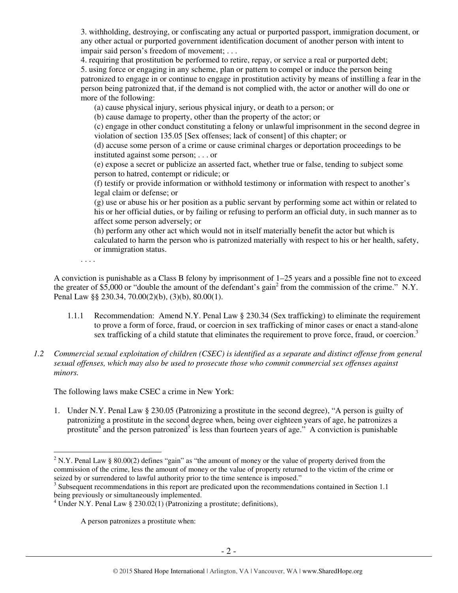3. withholding, destroying, or confiscating any actual or purported passport, immigration document, or any other actual or purported government identification document of another person with intent to impair said person's freedom of movement; . . .

4. requiring that prostitution be performed to retire, repay, or service a real or purported debt; 5. using force or engaging in any scheme, plan or pattern to compel or induce the person being patronized to engage in or continue to engage in prostitution activity by means of instilling a fear in the person being patronized that, if the demand is not complied with, the actor or another will do one or more of the following:

(a) cause physical injury, serious physical injury, or death to a person; or

(b) cause damage to property, other than the property of the actor; or

(c) engage in other conduct constituting a felony or unlawful imprisonment in the second degree in violation of section 135.05 [Sex offenses; lack of consent] of this chapter; or

(d) accuse some person of a crime or cause criminal charges or deportation proceedings to be instituted against some person; . . . or

(e) expose a secret or publicize an asserted fact, whether true or false, tending to subject some person to hatred, contempt or ridicule; or

(f) testify or provide information or withhold testimony or information with respect to another's legal claim or defense; or

(g) use or abuse his or her position as a public servant by performing some act within or related to his or her official duties, or by failing or refusing to perform an official duty, in such manner as to affect some person adversely; or

(h) perform any other act which would not in itself materially benefit the actor but which is calculated to harm the person who is patronized materially with respect to his or her health, safety, or immigration status.

. . . .

A conviction is punishable as a Class B felony by imprisonment of 1–25 years and a possible fine not to exceed the greater of \$5,000 or "double the amount of the defendant's gain<sup>2</sup> from the commission of the crime." N.Y. Penal Law §§ 230.34, 70.00(2)(b), (3)(b), 80.00(1).

- 1.1.1 Recommendation: Amend N.Y. Penal Law § 230.34 (Sex trafficking) to eliminate the requirement to prove a form of force, fraud, or coercion in sex trafficking of minor cases or enact a stand-alone sex trafficking of a child statute that eliminates the requirement to prove force, fraud, or coercion.<sup>3</sup>
- *1.2 Commercial sexual exploitation of children (CSEC) is identified as a separate and distinct offense from general sexual offenses, which may also be used to prosecute those who commit commercial sex offenses against minors.*

The following laws make CSEC a crime in New York:

1. Under N.Y. Penal Law § 230.05 (Patronizing a prostitute in the second degree), "A person is guilty of patronizing a prostitute in the second degree when, being over eighteen years of age, he patronizes a prostitute<sup>4</sup> and the person patronized<sup>5</sup> is less than fourteen years of age." A conviction is punishable

A person patronizes a prostitute when:

 $\overline{a}$ <sup>2</sup> N.Y. Penal Law § 80.00(2) defines "gain" as "the amount of money or the value of property derived from the commission of the crime, less the amount of money or the value of property returned to the victim of the crime or seized by or surrendered to lawful authority prior to the time sentence is imposed."

<sup>&</sup>lt;sup>3</sup> Subsequent recommendations in this report are predicated upon the recommendations contained in Section 1.1 being previously or simultaneously implemented.

<sup>&</sup>lt;sup>4</sup> Under N.Y. Penal Law § 230.02(1) (Patronizing a prostitute; definitions),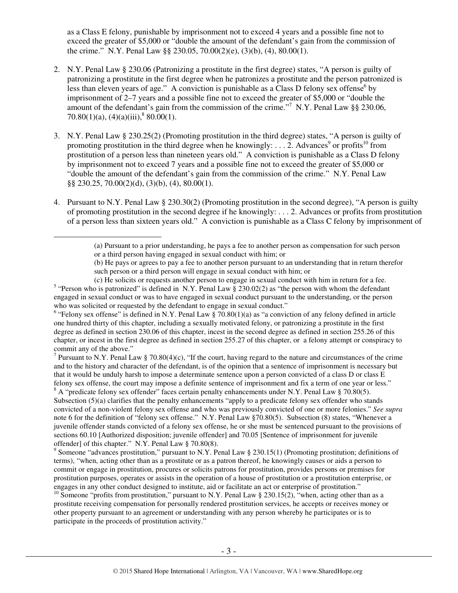as a Class E felony, punishable by imprisonment not to exceed 4 years and a possible fine not to exceed the greater of \$5,000 or "double the amount of the defendant's gain from the commission of the crime." N.Y. Penal Law §§ 230.05, 70.00(2)(e), (3)(b), (4), 80.00(1).

- 2. N.Y. Penal Law § 230.06 (Patronizing a prostitute in the first degree) states, "A person is guilty of patronizing a prostitute in the first degree when he patronizes a prostitute and the person patronized is less than eleven years of age." A conviction is punishable as a Class D felony sex offense by imprisonment of 2–7 years and a possible fine not to exceed the greater of \$5,000 or "double the amount of the defendant's gain from the commission of the crime."<sup>7</sup> N.Y. Penal Law §§ 230.06, 70.80(1)(a),  $(4)(a)(iii)$ ,  $80.00(1)$ .
- 3. N.Y. Penal Law § 230.25(2) (Promoting prostitution in the third degree) states, "A person is guilty of promoting prostitution in the third degree when he knowingly: . . . 2. Advances<sup>9</sup> or profits<sup>10</sup> from prostitution of a person less than nineteen years old." A conviction is punishable as a Class D felony by imprisonment not to exceed 7 years and a possible fine not to exceed the greater of \$5,000 or "double the amount of the defendant's gain from the commission of the crime." N.Y. Penal Law §§ 230.25, 70.00(2)(d), (3)(b), (4), 80.00(1).
- 4. Pursuant to N.Y. Penal Law § 230.30(2) (Promoting prostitution in the second degree), "A person is guilty of promoting prostitution in the second degree if he knowingly: . . . 2. Advances or profits from prostitution of a person less than sixteen years old." A conviction is punishable as a Class C felony by imprisonment of

 $\overline{a}$ 

<sup>6</sup> "Felony sex offense" is defined in N.Y. Penal Law § 70.80(1)(a) as "a conviction of any felony defined in article one hundred thirty of this chapter, including a sexually motivated felony, or patronizing a prostitute in the first degree as defined in section 230.06 of this chapter, incest in the second degree as defined in section 255.26 of this chapter, or incest in the first degree as defined in section 255.27 of this chapter, or a felony attempt or conspiracy to commit any of the above."

<sup>7</sup> Pursuant to N.Y. Penal Law § 70.80(4)(c), "If the court, having regard to the nature and circumstances of the crime and to the history and character of the defendant, is of the opinion that a sentence of imprisonment is necessary but that it would be unduly harsh to impose a determinate sentence upon a person convicted of a class D or class E felony sex offense, the court may impose a definite sentence of imprisonment and fix a term of one year or less."

 $8$  A "predicate felony sex offender" faces certain penalty enhancements under N.Y. Penal Law § 70.80(5). Subsection (5)(a) clarifies that the penalty enhancements "apply to a predicate felony sex offender who stands convicted of a non-violent felony sex offense and who was previously convicted of one or more felonies." *See supra*  note 6 for the definition of "felony sex offense." N.Y. Penal Law §70.80(5). Subsection (8) states, "Whenever a juvenile offender stands convicted of a felony sex offense, he or she must be sentenced pursuant to the provisions of sections 60.10 [Authorized disposition; juvenile offender] and 70.05 [Sentence of imprisonment for juvenile offender] of this chapter." N.Y. Penal Law § 70.80(8).

<sup>9</sup> Someone "advances prostitution," pursuant to N.Y. Penal Law § 230.15(1) (Promoting prostitution; definitions of terms), "when, acting other than as a prostitute or as a patron thereof, he knowingly causes or aids a person to commit or engage in prostitution, procures or solicits patrons for prostitution, provides persons or premises for prostitution purposes, operates or assists in the operation of a house of prostitution or a prostitution enterprise, or engages in any other conduct designed to institute, aid or facilitate an act or enterprise of prostitution."

<sup>10</sup> Someone "profits from prostitution," pursuant to N.Y. Penal Law § 230.15(2), "when, acting other than as a prostitute receiving compensation for personally rendered prostitution services, he accepts or receives money or other property pursuant to an agreement or understanding with any person whereby he participates or is to participate in the proceeds of prostitution activity."

<sup>(</sup>a) Pursuant to a prior understanding, he pays a fee to another person as compensation for such person or a third person having engaged in sexual conduct with him; or

<sup>(</sup>b) He pays or agrees to pay a fee to another person pursuant to an understanding that in return therefor such person or a third person will engage in sexual conduct with him; or

<sup>(</sup>c) He solicits or requests another person to engage in sexual conduct with him in return for a fee.

<sup>&</sup>lt;sup>5</sup> "Person who is patronized" is defined in N.Y. Penal Law  $\S$  230.02(2) as "the person with whom the defendant engaged in sexual conduct or was to have engaged in sexual conduct pursuant to the understanding, or the person who was solicited or requested by the defendant to engage in sexual conduct."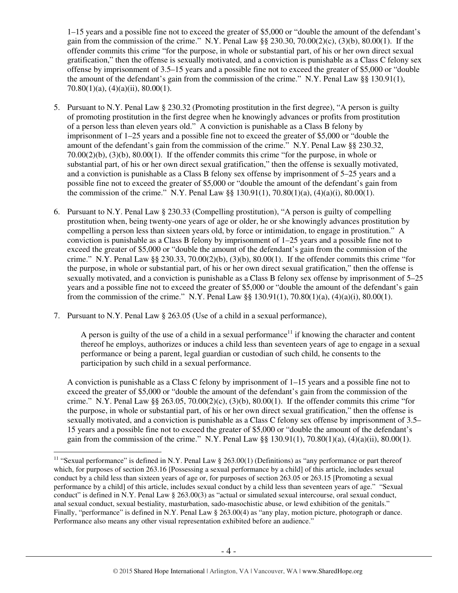1–15 years and a possible fine not to exceed the greater of \$5,000 or "double the amount of the defendant's gain from the commission of the crime." N.Y. Penal Law  $\S$ § 230.30, 70.00(2)(c), (3)(b), 80.00(1). If the offender commits this crime "for the purpose, in whole or substantial part, of his or her own direct sexual gratification," then the offense is sexually motivated, and a conviction is punishable as a Class C felony sex offense by imprisonment of 3.5–15 years and a possible fine not to exceed the greater of \$5,000 or "double the amount of the defendant's gain from the commission of the crime." N.Y. Penal Law §§ 130.91(1),  $70.80(1)(a)$ ,  $(4)(a)(ii)$ ,  $80.00(1)$ .

- 5. Pursuant to N.Y. Penal Law § 230.32 (Promoting prostitution in the first degree), "A person is guilty of promoting prostitution in the first degree when he knowingly advances or profits from prostitution of a person less than eleven years old." A conviction is punishable as a Class B felony by imprisonment of 1–25 years and a possible fine not to exceed the greater of \$5,000 or "double the amount of the defendant's gain from the commission of the crime." N.Y. Penal Law §§ 230.32, 70.00(2)(b), (3)(b), 80.00(1). If the offender commits this crime "for the purpose, in whole or substantial part, of his or her own direct sexual gratification," then the offense is sexually motivated, and a conviction is punishable as a Class B felony sex offense by imprisonment of 5–25 years and a possible fine not to exceed the greater of \$5,000 or "double the amount of the defendant's gain from the commission of the crime." N.Y. Penal Law  $\S$ § 130.91(1), 70.80(1)(a), (4)(a)(i), 80.00(1).
- 6. Pursuant to N.Y. Penal Law § 230.33 (Compelling prostitution), "A person is guilty of compelling prostitution when, being twenty-one years of age or older, he or she knowingly advances prostitution by compelling a person less than sixteen years old, by force or intimidation, to engage in prostitution." A conviction is punishable as a Class B felony by imprisonment of 1–25 years and a possible fine not to exceed the greater of \$5,000 or "double the amount of the defendant's gain from the commission of the crime." N.Y. Penal Law  $\S$  230.33, 70.00(2)(b), (3)(b), 80.00(1). If the offender commits this crime "for the purpose, in whole or substantial part, of his or her own direct sexual gratification," then the offense is sexually motivated, and a conviction is punishable as a Class B felony sex offense by imprisonment of 5–25 years and a possible fine not to exceed the greater of \$5,000 or "double the amount of the defendant's gain from the commission of the crime." N.Y. Penal Law §§ 130.91(1), 70.80(1)(a), (4)(a)(i), 80.00(1).
- 7. Pursuant to N.Y. Penal Law § 263.05 (Use of a child in a sexual performance),

A person is guilty of the use of a child in a sexual performance<sup>11</sup> if knowing the character and content thereof he employs, authorizes or induces a child less than seventeen years of age to engage in a sexual performance or being a parent, legal guardian or custodian of such child, he consents to the participation by such child in a sexual performance.

A conviction is punishable as a Class C felony by imprisonment of 1–15 years and a possible fine not to exceed the greater of \$5,000 or "double the amount of the defendant's gain from the commission of the crime." N.Y. Penal Law  $\S$  263.05, 70.00(2)(c), (3)(b), 80.00(1). If the offender commits this crime "for the purpose, in whole or substantial part, of his or her own direct sexual gratification," then the offense is sexually motivated, and a conviction is punishable as a Class C felony sex offense by imprisonment of 3.5– 15 years and a possible fine not to exceed the greater of \$5,000 or "double the amount of the defendant's gain from the commission of the crime." N.Y. Penal Law §§ 130.91(1), 70.80(1)(a), (4)(a)(ii), 80.00(1).

 $\overline{a}$ <sup>11</sup> "Sexual performance" is defined in N.Y. Penal Law § 263.00(1) (Definitions) as "any performance or part thereof which, for purposes of section 263.16 [Possessing a sexual performance by a child] of this article, includes sexual conduct by a child less than sixteen years of age or, for purposes of section 263.05 or 263.15 [Promoting a sexual performance by a child] of this article, includes sexual conduct by a child less than seventeen years of age." "Sexual conduct" is defined in N.Y. Penal Law § 263.00(3) as "actual or simulated sexual intercourse, oral sexual conduct, anal sexual conduct, sexual bestiality, masturbation, sado-masochistic abuse, or lewd exhibition of the genitals." Finally, "performance" is defined in N.Y. Penal Law § 263.00(4) as "any play, motion picture, photograph or dance. Performance also means any other visual representation exhibited before an audience."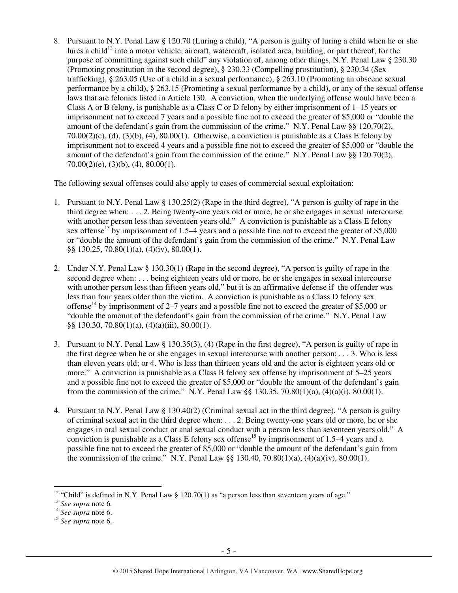8. Pursuant to N.Y. Penal Law § 120.70 (Luring a child), "A person is guilty of luring a child when he or she lures a child<sup>12</sup> into a motor vehicle, aircraft, watercraft, isolated area, building, or part thereof, for the purpose of committing against such child" any violation of, among other things, N.Y. Penal Law § 230.30 (Promoting prostitution in the second degree), § 230.33 (Compelling prostitution), § 230.34 (Sex trafficking), § 263.05 (Use of a child in a sexual performance), § 263.10 (Promoting an obscene sexual performance by a child), § 263.15 (Promoting a sexual performance by a child), or any of the sexual offense laws that are felonies listed in Article 130. A conviction, when the underlying offense would have been a Class A or B felony, is punishable as a Class C or D felony by either imprisonment of 1–15 years or imprisonment not to exceed 7 years and a possible fine not to exceed the greater of \$5,000 or "double the amount of the defendant's gain from the commission of the crime." N.Y. Penal Law §§ 120.70(2),  $70.00(2)(c)$ , (d), (3)(b), (4), 80.00(1). Otherwise, a conviction is punishable as a Class E felony by imprisonment not to exceed 4 years and a possible fine not to exceed the greater of \$5,000 or "double the amount of the defendant's gain from the commission of the crime." N.Y. Penal Law §§ 120.70(2),  $70.00(2)(e)$ ,  $(3)(b)$ ,  $(4)$ ,  $80.00(1)$ .

The following sexual offenses could also apply to cases of commercial sexual exploitation:

- 1. Pursuant to N.Y. Penal Law § 130.25(2) (Rape in the third degree), "A person is guilty of rape in the third degree when: . . . 2. Being twenty-one years old or more, he or she engages in sexual intercourse with another person less than seventeen years old." A conviction is punishable as a Class E felony sex offense<sup>13</sup> by imprisonment of 1.5–4 years and a possible fine not to exceed the greater of \$5,000 or "double the amount of the defendant's gain from the commission of the crime." N.Y. Penal Law §§ 130.25, 70.80(1)(a), (4)(iv), 80.00(1).
- 2. Under N.Y. Penal Law § 130.30(1) (Rape in the second degree), "A person is guilty of rape in the second degree when: . . . being eighteen years old or more, he or she engages in sexual intercourse with another person less than fifteen years old," but it is an affirmative defense if the offender was less than four years older than the victim. A conviction is punishable as a Class D felony sex offense<sup>14</sup> by imprisonment of 2–7 years and a possible fine not to exceed the greater of \$5,000 or "double the amount of the defendant's gain from the commission of the crime." N.Y. Penal Law §§ 130.30, 70.80(1)(a), (4)(a)(iii), 80.00(1).
- 3. Pursuant to N.Y. Penal Law § 130.35(3), (4) (Rape in the first degree), "A person is guilty of rape in the first degree when he or she engages in sexual intercourse with another person: . . . 3. Who is less than eleven years old; or 4. Who is less than thirteen years old and the actor is eighteen years old or more." A conviction is punishable as a Class B felony sex offense by imprisonment of 5–25 years and a possible fine not to exceed the greater of \$5,000 or "double the amount of the defendant's gain from the commission of the crime." N.Y. Penal Law §§ 130.35, 70.80(1)(a), (4)(a)(i), 80.00(1).
- 4. Pursuant to N.Y. Penal Law § 130.40(2) (Criminal sexual act in the third degree), "A person is guilty of criminal sexual act in the third degree when: . . . 2. Being twenty-one years old or more, he or she engages in oral sexual conduct or anal sexual conduct with a person less than seventeen years old." A conviction is punishable as a Class E felony sex offense<sup>15</sup> by imprisonment of 1.5–4 years and a possible fine not to exceed the greater of \$5,000 or "double the amount of the defendant's gain from the commission of the crime." N.Y. Penal Law  $\S$  130.40, 70.80(1)(a), (4)(a)(iv), 80.00(1).

<sup>&</sup>lt;sup>12</sup> "Child" is defined in N.Y. Penal Law  $\S$  120.70(1) as "a person less than seventeen years of age."

<sup>13</sup> *See supra* note 6*.*

<sup>14</sup> *See supra* note 6.

<sup>15</sup> *See supra* note 6.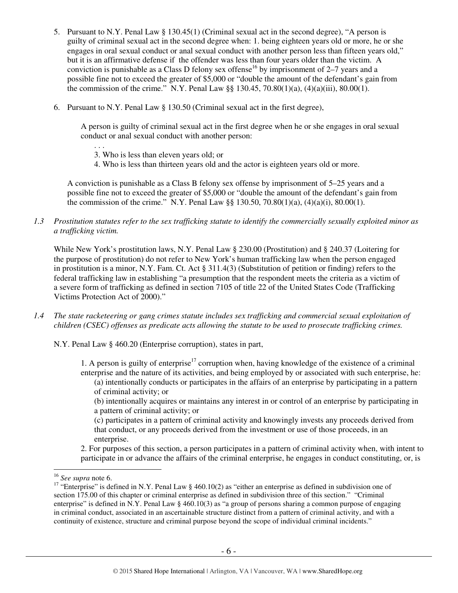- 5. Pursuant to N.Y. Penal Law § 130.45(1) (Criminal sexual act in the second degree), "A person is guilty of criminal sexual act in the second degree when: 1. being eighteen years old or more, he or she engages in oral sexual conduct or anal sexual conduct with another person less than fifteen years old," but it is an affirmative defense if the offender was less than four years older than the victim. A conviction is punishable as a Class D felony sex offense<sup>16</sup> by imprisonment of 2–7 years and a possible fine not to exceed the greater of \$5,000 or "double the amount of the defendant's gain from the commission of the crime." N.Y. Penal Law §§ 130.45, 70.80(1)(a), (4)(a)(iii), 80.00(1).
- 6. Pursuant to N.Y. Penal Law § 130.50 (Criminal sexual act in the first degree),

A person is guilty of criminal sexual act in the first degree when he or she engages in oral sexual conduct or anal sexual conduct with another person:

- . . . 3. Who is less than eleven years old; or
- 4. Who is less than thirteen years old and the actor is eighteen years old or more.

A conviction is punishable as a Class B felony sex offense by imprisonment of 5–25 years and a possible fine not to exceed the greater of \$5,000 or "double the amount of the defendant's gain from the commission of the crime." N.Y. Penal Law  $\S$  130.50, 70.80(1)(a), (4)(a)(i), 80.00(1).

*1.3 Prostitution statutes refer to the sex trafficking statute to identify the commercially sexually exploited minor as a trafficking victim.* 

While New York's prostitution laws, N.Y. Penal Law § 230.00 (Prostitution) and § 240.37 (Loitering for the purpose of prostitution) do not refer to New York's human trafficking law when the person engaged in prostitution is a minor, N.Y. Fam. Ct. Act § 311.4(3) (Substitution of petition or finding) refers to the federal trafficking law in establishing "a presumption that the respondent meets the criteria as a victim of a severe form of trafficking as defined in section 7105 of title 22 of the United States Code (Trafficking Victims Protection Act of 2000)."

- *1.4 The state racketeering or gang crimes statute includes sex trafficking and commercial sexual exploitation of children (CSEC) offenses as predicate acts allowing the statute to be used to prosecute trafficking crimes.* 
	- N.Y. Penal Law § 460.20 (Enterprise corruption), states in part,

1. A person is guilty of enterprise<sup>17</sup> corruption when, having knowledge of the existence of a criminal enterprise and the nature of its activities, and being employed by or associated with such enterprise, he:

(a) intentionally conducts or participates in the affairs of an enterprise by participating in a pattern of criminal activity; or

(b) intentionally acquires or maintains any interest in or control of an enterprise by participating in a pattern of criminal activity; or

(c) participates in a pattern of criminal activity and knowingly invests any proceeds derived from that conduct, or any proceeds derived from the investment or use of those proceeds, in an enterprise.

2. For purposes of this section, a person participates in a pattern of criminal activity when, with intent to participate in or advance the affairs of the criminal enterprise, he engages in conduct constituting, or, is

<sup>16</sup> *See supra* note 6.

<sup>&</sup>lt;sup>17</sup> "Enterprise" is defined in N.Y. Penal Law § 460.10(2) as "either an enterprise as defined in subdivision one of section 175.00 of this chapter or criminal enterprise as defined in subdivision three of this section." "Criminal enterprise" is defined in N.Y. Penal Law § 460.10(3) as "a group of persons sharing a common purpose of engaging in criminal conduct, associated in an ascertainable structure distinct from a pattern of criminal activity, and with a continuity of existence, structure and criminal purpose beyond the scope of individual criminal incidents."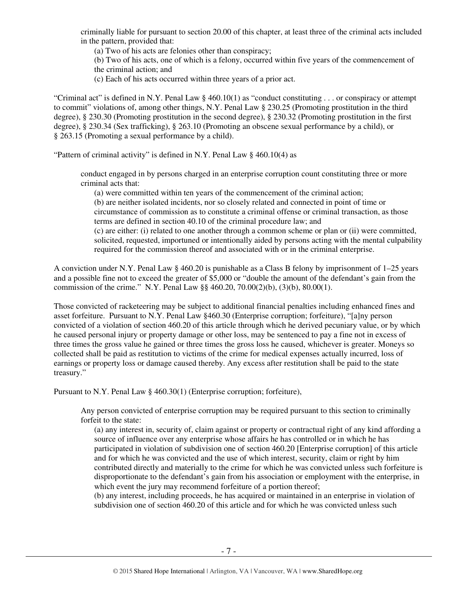criminally liable for pursuant to section 20.00 of this chapter, at least three of the criminal acts included in the pattern, provided that:

(a) Two of his acts are felonies other than conspiracy;

(b) Two of his acts, one of which is a felony, occurred within five years of the commencement of the criminal action; and

(c) Each of his acts occurred within three years of a prior act.

"Criminal act" is defined in N.Y. Penal Law § 460.10(1) as "conduct constituting . . . or conspiracy or attempt to commit" violations of, among other things, N.Y. Penal Law § 230.25 (Promoting prostitution in the third degree), § 230.30 (Promoting prostitution in the second degree), § 230.32 (Promoting prostitution in the first degree), § 230.34 (Sex trafficking), § 263.10 (Promoting an obscene sexual performance by a child), or § 263.15 (Promoting a sexual performance by a child).

"Pattern of criminal activity" is defined in N.Y. Penal Law § 460.10(4) as

conduct engaged in by persons charged in an enterprise corruption count constituting three or more criminal acts that:

(a) were committed within ten years of the commencement of the criminal action; (b) are neither isolated incidents, nor so closely related and connected in point of time or circumstance of commission as to constitute a criminal offense or criminal transaction, as those terms are defined in section 40.10 of the criminal procedure law; and (c) are either: (i) related to one another through a common scheme or plan or (ii) were committed,

solicited, requested, importuned or intentionally aided by persons acting with the mental culpability required for the commission thereof and associated with or in the criminal enterprise.

A conviction under N.Y. Penal Law § 460.20 is punishable as a Class B felony by imprisonment of 1–25 years and a possible fine not to exceed the greater of \$5,000 or "double the amount of the defendant's gain from the commission of the crime." N.Y. Penal Law §§ 460.20, 70.00(2)(b), (3)(b), 80.00(1).

Those convicted of racketeering may be subject to additional financial penalties including enhanced fines and asset forfeiture. Pursuant to N.Y. Penal Law §460.30 (Enterprise corruption; forfeiture), "[a]ny person convicted of a violation of section 460.20 of this article through which he derived pecuniary value, or by which he caused personal injury or property damage or other loss, may be sentenced to pay a fine not in excess of three times the gross value he gained or three times the gross loss he caused, whichever is greater. Moneys so collected shall be paid as restitution to victims of the crime for medical expenses actually incurred, loss of earnings or property loss or damage caused thereby. Any excess after restitution shall be paid to the state treasury."

Pursuant to N.Y. Penal Law § 460.30(1) (Enterprise corruption; forfeiture),

Any person convicted of enterprise corruption may be required pursuant to this section to criminally forfeit to the state:

(a) any interest in, security of, claim against or property or contractual right of any kind affording a source of influence over any enterprise whose affairs he has controlled or in which he has participated in violation of subdivision one of section 460.20 [Enterprise corruption] of this article and for which he was convicted and the use of which interest, security, claim or right by him contributed directly and materially to the crime for which he was convicted unless such forfeiture is disproportionate to the defendant's gain from his association or employment with the enterprise, in which event the jury may recommend forfeiture of a portion thereof;

(b) any interest, including proceeds, he has acquired or maintained in an enterprise in violation of subdivision one of section 460.20 of this article and for which he was convicted unless such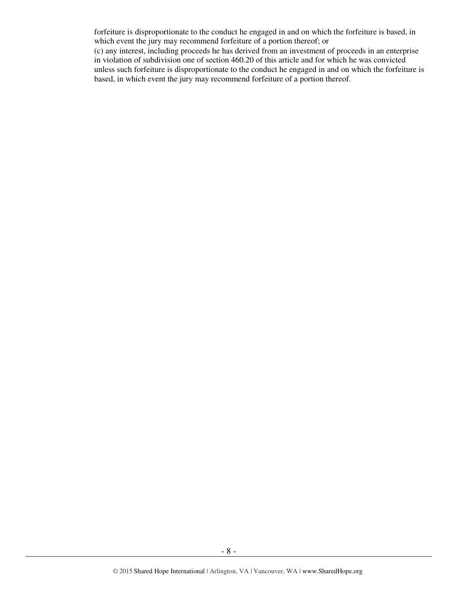forfeiture is disproportionate to the conduct he engaged in and on which the forfeiture is based, in which event the jury may recommend forfeiture of a portion thereof; or (c) any interest, including proceeds he has derived from an investment of proceeds in an enterprise in violation of subdivision one of section 460.20 of this article and for which he was convicted unless such forfeiture is disproportionate to the conduct he engaged in and on which the forfeiture is based, in which event the jury may recommend forfeiture of a portion thereof.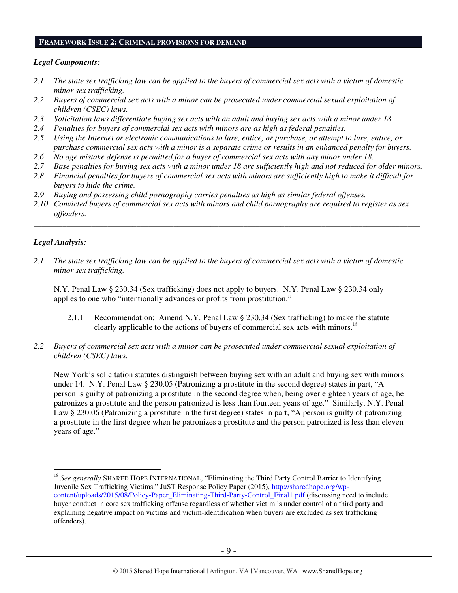#### **FRAMEWORK ISSUE 2: CRIMINAL PROVISIONS FOR DEMAND**

#### *Legal Components:*

- *2.1 The state sex trafficking law can be applied to the buyers of commercial sex acts with a victim of domestic minor sex trafficking.*
- *2.2 Buyers of commercial sex acts with a minor can be prosecuted under commercial sexual exploitation of children (CSEC) laws.*
- *2.3 Solicitation laws differentiate buying sex acts with an adult and buying sex acts with a minor under 18.*
- *2.4 Penalties for buyers of commercial sex acts with minors are as high as federal penalties.*
- *2.5 Using the Internet or electronic communications to lure, entice, or purchase, or attempt to lure, entice, or purchase commercial sex acts with a minor is a separate crime or results in an enhanced penalty for buyers.*
- *2.6 No age mistake defense is permitted for a buyer of commercial sex acts with any minor under 18.*
- *2.7 Base penalties for buying sex acts with a minor under 18 are sufficiently high and not reduced for older minors.*
- *2.8 Financial penalties for buyers of commercial sex acts with minors are sufficiently high to make it difficult for buyers to hide the crime.*
- *2.9 Buying and possessing child pornography carries penalties as high as similar federal offenses.*
- *2.10 Convicted buyers of commercial sex acts with minors and child pornography are required to register as sex offenders.*

\_\_\_\_\_\_\_\_\_\_\_\_\_\_\_\_\_\_\_\_\_\_\_\_\_\_\_\_\_\_\_\_\_\_\_\_\_\_\_\_\_\_\_\_\_\_\_\_\_\_\_\_\_\_\_\_\_\_\_\_\_\_\_\_\_\_\_\_\_\_\_\_\_\_\_\_\_\_\_\_\_\_\_\_\_\_\_\_\_\_\_\_\_\_

#### *Legal Analysis:*

 $\overline{a}$ 

*2.1 The state sex trafficking law can be applied to the buyers of commercial sex acts with a victim of domestic minor sex trafficking.* 

N.Y. Penal Law § 230.34 (Sex trafficking) does not apply to buyers. N.Y. Penal Law § 230.34 only applies to one who "intentionally advances or profits from prostitution."

- 2.1.1 Recommendation: Amend N.Y. Penal Law § 230.34 (Sex trafficking) to make the statute clearly applicable to the actions of buyers of commercial sex acts with minors.<sup>18</sup>
- *2.2 Buyers of commercial sex acts with a minor can be prosecuted under commercial sexual exploitation of children (CSEC) laws.*

New York's solicitation statutes distinguish between buying sex with an adult and buying sex with minors under 14. N.Y. Penal Law § 230.05 (Patronizing a prostitute in the second degree) states in part, "A person is guilty of patronizing a prostitute in the second degree when, being over eighteen years of age, he patronizes a prostitute and the person patronized is less than fourteen years of age." Similarly, N.Y. Penal Law § 230.06 (Patronizing a prostitute in the first degree) states in part, "A person is guilty of patronizing a prostitute in the first degree when he patronizes a prostitute and the person patronized is less than eleven years of age."

<sup>&</sup>lt;sup>18</sup> See generally SHARED HOPE INTERNATIONAL, "Eliminating the Third Party Control Barrier to Identifying Juvenile Sex Trafficking Victims," JuST Response Policy Paper (2015), http://sharedhope.org/wpcontent/uploads/2015/08/Policy-Paper\_Eliminating-Third-Party-Control\_Final1.pdf (discussing need to include buyer conduct in core sex trafficking offense regardless of whether victim is under control of a third party and explaining negative impact on victims and victim-identification when buyers are excluded as sex trafficking offenders).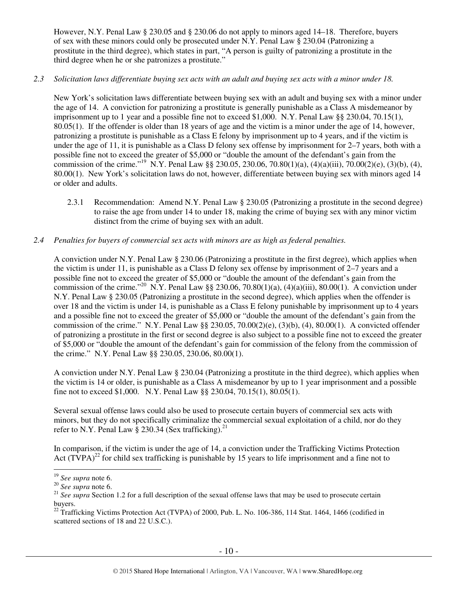However, N.Y. Penal Law § 230.05 and § 230.06 do not apply to minors aged 14–18. Therefore, buyers of sex with these minors could only be prosecuted under N.Y. Penal Law § 230.04 (Patronizing a prostitute in the third degree), which states in part, "A person is guilty of patronizing a prostitute in the third degree when he or she patronizes a prostitute."

# *2.3 Solicitation laws differentiate buying sex acts with an adult and buying sex acts with a minor under 18.*

New York's solicitation laws differentiate between buying sex with an adult and buying sex with a minor under the age of 14. A conviction for patronizing a prostitute is generally punishable as a Class A misdemeanor by imprisonment up to 1 year and a possible fine not to exceed \$1,000. N.Y. Penal Law §§ 230.04, 70.15(1), 80.05(1). If the offender is older than 18 years of age and the victim is a minor under the age of 14, however, patronizing a prostitute is punishable as a Class E felony by imprisonment up to 4 years, and if the victim is under the age of 11, it is punishable as a Class D felony sex offense by imprisonment for 2–7 years, both with a possible fine not to exceed the greater of \$5,000 or "double the amount of the defendant's gain from the commission of the crime."<sup>19</sup> N.Y. Penal Law §§ 230.05, 230.06, 70.80(1)(a), (4)(a)(iii), 70.00(2)(e), (3)(b), (4), 80.00(1). New York's solicitation laws do not, however, differentiate between buying sex with minors aged 14 or older and adults.

2.3.1 Recommendation: Amend N.Y. Penal Law § 230.05 (Patronizing a prostitute in the second degree) to raise the age from under 14 to under 18, making the crime of buying sex with any minor victim distinct from the crime of buying sex with an adult.

# *2.4 Penalties for buyers of commercial sex acts with minors are as high as federal penalties.*

A conviction under N.Y. Penal Law § 230.06 (Patronizing a prostitute in the first degree), which applies when the victim is under 11, is punishable as a Class D felony sex offense by imprisonment of 2–7 years and a possible fine not to exceed the greater of \$5,000 or "double the amount of the defendant's gain from the commission of the crime."<sup>20</sup> N.Y. Penal Law §§ 230.06, 70.80(1)(a), (4)(a)(iii), 80.00(1). A conviction under N.Y. Penal Law § 230.05 (Patronizing a prostitute in the second degree), which applies when the offender is over 18 and the victim is under 14, is punishable as a Class E felony punishable by imprisonment up to 4 years and a possible fine not to exceed the greater of \$5,000 or "double the amount of the defendant's gain from the commission of the crime." N.Y. Penal Law §§ 230.05, 70.00(2)(e), (3)(b), (4), 80.00(1). A convicted offender of patronizing a prostitute in the first or second degree is also subject to a possible fine not to exceed the greater of \$5,000 or "double the amount of the defendant's gain for commission of the felony from the commission of the crime." N.Y. Penal Law §§ 230.05, 230.06, 80.00(1).

A conviction under N.Y. Penal Law § 230.04 (Patronizing a prostitute in the third degree), which applies when the victim is 14 or older, is punishable as a Class A misdemeanor by up to 1 year imprisonment and a possible fine not to exceed \$1,000. N.Y. Penal Law §§ 230.04, 70.15(1), 80.05(1).

Several sexual offense laws could also be used to prosecute certain buyers of commercial sex acts with minors, but they do not specifically criminalize the commercial sexual exploitation of a child, nor do they refer to N.Y. Penal Law  $\S$  230.34 (Sex trafficking).<sup>21</sup>

In comparison, if the victim is under the age of 14, a conviction under the Trafficking Victims Protection Act  $(TVPA)^{22}$  for child sex trafficking is punishable by 15 years to life imprisonment and a fine not to

 $\overline{a}$ <sup>19</sup> *See supra* note 6.

<sup>20</sup> *See supra* note 6.

<sup>&</sup>lt;sup>21</sup> See supra Section 1.2 for a full description of the sexual offense laws that may be used to prosecute certain buyers.

<sup>&</sup>lt;sup>22</sup> Trafficking Victims Protection Act (TVPA) of 2000, Pub. L. No. 106-386, 114 Stat. 1464, 1466 (codified in scattered sections of 18 and 22 U.S.C.).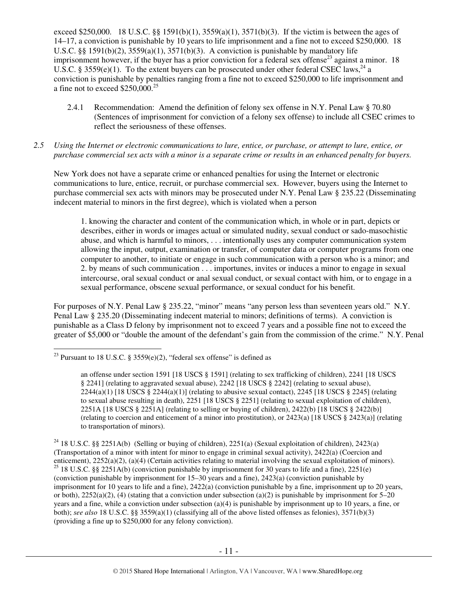exceed \$250,000. 18 U.S.C.  $\S$  1591(b)(1), 3559(a)(1), 3571(b)(3). If the victim is between the ages of 14–17, a conviction is punishable by 10 years to life imprisonment and a fine not to exceed \$250,000. 18 U.S.C. §§ 1591(b)(2),  $3559(a)(1)$ ,  $3571(b)(3)$ . A conviction is punishable by mandatory life imprisonment however, if the buyer has a prior conviction for a federal sex offense<sup>23</sup> against a minor. 18 U.S.C. § 3559(e)(1). To the extent buyers can be prosecuted under other federal CSEC laws,<sup>24</sup> a conviction is punishable by penalties ranging from a fine not to exceed \$250,000 to life imprisonment and a fine not to exceed  $$250,000.<sup>25</sup>$ 

- 2.4.1 Recommendation: Amend the definition of felony sex offense in N.Y. Penal Law § 70.80 (Sentences of imprisonment for conviction of a felony sex offense) to include all CSEC crimes to reflect the seriousness of these offenses.
- *2.5 Using the Internet or electronic communications to lure, entice, or purchase, or attempt to lure, entice, or purchase commercial sex acts with a minor is a separate crime or results in an enhanced penalty for buyers.*

New York does not have a separate crime or enhanced penalties for using the Internet or electronic communications to lure, entice, recruit, or purchase commercial sex. However, buyers using the Internet to purchase commercial sex acts with minors may be prosecuted under N.Y. Penal Law § 235.22 (Disseminating indecent material to minors in the first degree), which is violated when a person

1. knowing the character and content of the communication which, in whole or in part, depicts or describes, either in words or images actual or simulated nudity, sexual conduct or sado-masochistic abuse, and which is harmful to minors, . . . intentionally uses any computer communication system allowing the input, output, examination or transfer, of computer data or computer programs from one computer to another, to initiate or engage in such communication with a person who is a minor; and 2. by means of such communication . . . importunes, invites or induces a minor to engage in sexual intercourse, oral sexual conduct or anal sexual conduct, or sexual contact with him, or to engage in a sexual performance, obscene sexual performance, or sexual conduct for his benefit.

For purposes of N.Y. Penal Law § 235.22, "minor" means "any person less than seventeen years old." N.Y. Penal Law § 235.20 (Disseminating indecent material to minors; definitions of terms). A conviction is punishable as a Class D felony by imprisonment not to exceed 7 years and a possible fine not to exceed the greater of \$5,000 or "double the amount of the defendant's gain from the commission of the crime." N.Y. Penal

 $\overline{a}$ <sup>23</sup> Pursuant to 18 U.S.C. § 3559 $(e)(2)$ , "federal sex offense" is defined as

an offense under section 1591 [18 USCS § 1591] (relating to sex trafficking of children), 2241 [18 USCS § 2241] (relating to aggravated sexual abuse), 2242 [18 USCS § 2242] (relating to sexual abuse), 2244(a)(1) [18 USCS § 2244(a)(1)] (relating to abusive sexual contact), 2245 [18 USCS § 2245] (relating to sexual abuse resulting in death), 2251 [18 USCS § 2251] (relating to sexual exploitation of children), 2251A [18 USCS § 2251A] (relating to selling or buying of children), 2422(b) [18 USCS § 2422(b)] (relating to coercion and enticement of a minor into prostitution), or 2423(a) [18 USCS § 2423(a)] (relating to transportation of minors).

<sup>&</sup>lt;sup>24</sup> 18 U.S.C. §§ 2251A(b) (Selling or buying of children), 2251(a) (Sexual exploitation of children), 2423(a) (Transportation of a minor with intent for minor to engage in criminal sexual activity), 2422(a) (Coercion and enticement), 2252(a)(2), (a)(4) (Certain activities relating to material involving the sexual exploitation of minors). <sup>25</sup> 18 U.S.C. §§ 2251A(b) (conviction punishable by imprisonment for 30 years to life and a fine), 2251(e) (conviction punishable by imprisonment for 15–30 years and a fine), 2423(a) (conviction punishable by imprisonment for 10 years to life and a fine), 2422(a) (conviction punishable by a fine, imprisonment up to 20 years, or both),  $2252(a)(2)$ , (4) (stating that a conviction under subsection (a)(2) is punishable by imprisonment for 5–20 years and a fine, while a conviction under subsection (a)(4) is punishable by imprisonment up to 10 years, a fine, or both); *see also* 18 U.S.C. §§ 3559(a)(1) (classifying all of the above listed offenses as felonies), 3571(b)(3) (providing a fine up to \$250,000 for any felony conviction).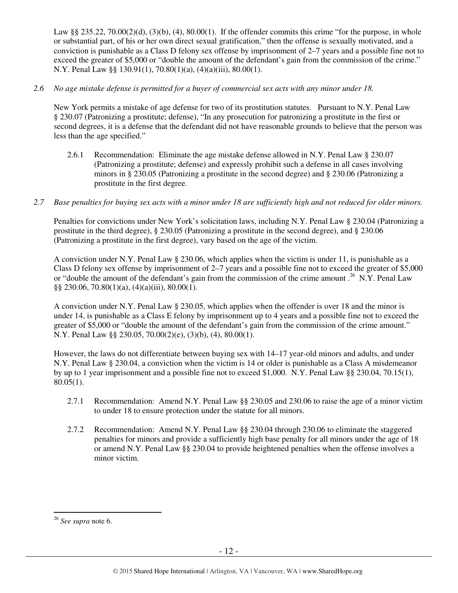Law §§ 235.22,  $70.00(2)(d)$ ,  $(3)(b)$ ,  $(4)$ ,  $80.00(1)$ . If the offender commits this crime "for the purpose, in whole or substantial part, of his or her own direct sexual gratification," then the offense is sexually motivated, and a conviction is punishable as a Class D felony sex offense by imprisonment of 2–7 years and a possible fine not to exceed the greater of \$5,000 or "double the amount of the defendant's gain from the commission of the crime." N.Y. Penal Law §§ 130.91(1), 70.80(1)(a), (4)(a)(iii), 80.00(1).

*2.6 No age mistake defense is permitted for a buyer of commercial sex acts with any minor under 18.* 

New York permits a mistake of age defense for two of its prostitution statutes. Pursuant to N.Y. Penal Law § 230.07 (Patronizing a prostitute; defense), "In any prosecution for patronizing a prostitute in the first or second degrees, it is a defense that the defendant did not have reasonable grounds to believe that the person was less than the age specified."

- 2.6.1 Recommendation: Eliminate the age mistake defense allowed in N.Y. Penal Law § 230.07 (Patronizing a prostitute; defense) and expressly prohibit such a defense in all cases involving minors in § 230.05 (Patronizing a prostitute in the second degree) and § 230.06 (Patronizing a prostitute in the first degree.
- *2.7 Base penalties for buying sex acts with a minor under 18 are sufficiently high and not reduced for older minors.*

Penalties for convictions under New York's solicitation laws, including N.Y. Penal Law § 230.04 (Patronizing a prostitute in the third degree), § 230.05 (Patronizing a prostitute in the second degree), and § 230.06 (Patronizing a prostitute in the first degree), vary based on the age of the victim.

A conviction under N.Y. Penal Law § 230.06, which applies when the victim is under 11, is punishable as a Class D felony sex offense by imprisonment of 2–7 years and a possible fine not to exceed the greater of \$5,000 or "double the amount of the defendant's gain from the commission of the crime amount .<sup>26</sup> N.Y. Penal Law §§ 230.06, 70.80(1)(a), (4)(a)(iii), 80.00(1).

A conviction under N.Y. Penal Law § 230.05, which applies when the offender is over 18 and the minor is under 14, is punishable as a Class E felony by imprisonment up to 4 years and a possible fine not to exceed the greater of \$5,000 or "double the amount of the defendant's gain from the commission of the crime amount." N.Y. Penal Law §§ 230.05, 70.00(2)(e), (3)(b), (4), 80.00(1).

However, the laws do not differentiate between buying sex with 14–17 year-old minors and adults, and under N.Y. Penal Law § 230.04, a conviction when the victim is 14 or older is punishable as a Class A misdemeanor by up to 1 year imprisonment and a possible fine not to exceed \$1,000. N.Y. Penal Law §§ 230.04, 70.15(1),  $80.05(1)$ .

- 2.7.1 Recommendation: Amend N.Y. Penal Law §§ 230.05 and 230.06 to raise the age of a minor victim to under 18 to ensure protection under the statute for all minors.
- 2.7.2 Recommendation: Amend N.Y. Penal Law §§ 230.04 through 230.06 to eliminate the staggered penalties for minors and provide a sufficiently high base penalty for all minors under the age of 18 or amend N.Y. Penal Law §§ 230.04 to provide heightened penalties when the offense involves a minor victim.

 $\overline{a}$ <sup>26</sup> *See supra* note 6.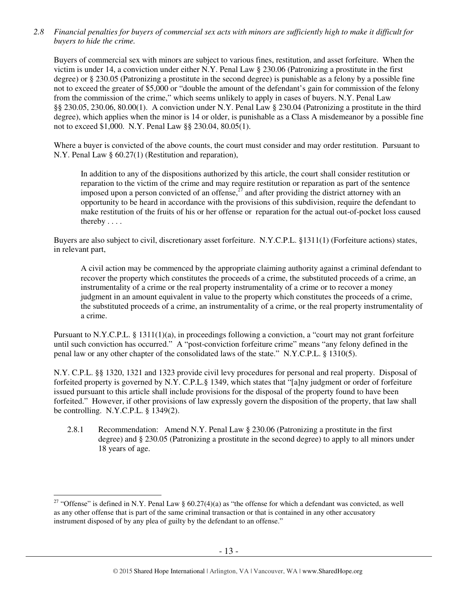*2.8 Financial penalties for buyers of commercial sex acts with minors are sufficiently high to make it difficult for buyers to hide the crime.* 

Buyers of commercial sex with minors are subject to various fines, restitution, and asset forfeiture. When the victim is under 14, a conviction under either N.Y. Penal Law § 230.06 (Patronizing a prostitute in the first degree) or § 230.05 (Patronizing a prostitute in the second degree) is punishable as a felony by a possible fine not to exceed the greater of \$5,000 or "double the amount of the defendant's gain for commission of the felony from the commission of the crime," which seems unlikely to apply in cases of buyers. N.Y. Penal Law §§ 230.05, 230.06, 80.00(1). A conviction under N.Y. Penal Law § 230.04 (Patronizing a prostitute in the third degree), which applies when the minor is 14 or older, is punishable as a Class A misdemeanor by a possible fine not to exceed \$1,000. N.Y. Penal Law §§ 230.04, 80.05(1).

Where a buyer is convicted of the above counts, the court must consider and may order restitution. Pursuant to N.Y. Penal Law § 60.27(1) (Restitution and reparation),

In addition to any of the dispositions authorized by this article, the court shall consider restitution or reparation to the victim of the crime and may require restitution or reparation as part of the sentence imposed upon a person convicted of an offense, $^{27}$  and after providing the district attorney with an opportunity to be heard in accordance with the provisions of this subdivision, require the defendant to make restitution of the fruits of his or her offense or reparation for the actual out-of-pocket loss caused thereby . . . .

Buyers are also subject to civil, discretionary asset forfeiture. N.Y.C.P.L. §1311(1) (Forfeiture actions) states, in relevant part,

A civil action may be commenced by the appropriate claiming authority against a criminal defendant to recover the property which constitutes the proceeds of a crime, the substituted proceeds of a crime, an instrumentality of a crime or the real property instrumentality of a crime or to recover a money judgment in an amount equivalent in value to the property which constitutes the proceeds of a crime, the substituted proceeds of a crime, an instrumentality of a crime, or the real property instrumentality of a crime.

Pursuant to N.Y.C.P.L. § 1311(1)(a), in proceedings following a conviction, a "court may not grant forfeiture until such conviction has occurred." A "post-conviction forfeiture crime" means "any felony defined in the penal law or any other chapter of the consolidated laws of the state." N.Y.C.P.L. § 1310(5).

N.Y. C.P.L. §§ 1320, 1321 and 1323 provide civil levy procedures for personal and real property. Disposal of forfeited property is governed by N.Y. C.P.L.§ 1349, which states that "[a]ny judgment or order of forfeiture issued pursuant to this article shall include provisions for the disposal of the property found to have been forfeited." However, if other provisions of law expressly govern the disposition of the property, that law shall be controlling. N.Y.C.P.L. § 1349(2).

2.8.1 Recommendation: Amend N.Y. Penal Law § 230.06 (Patronizing a prostitute in the first degree) and § 230.05 (Patronizing a prostitute in the second degree) to apply to all minors under 18 years of age.

<sup>&</sup>lt;sup>27</sup> "Offense" is defined in N.Y. Penal Law §  $60.27(4)(a)$  as "the offense for which a defendant was convicted, as well as any other offense that is part of the same criminal transaction or that is contained in any other accusatory instrument disposed of by any plea of guilty by the defendant to an offense."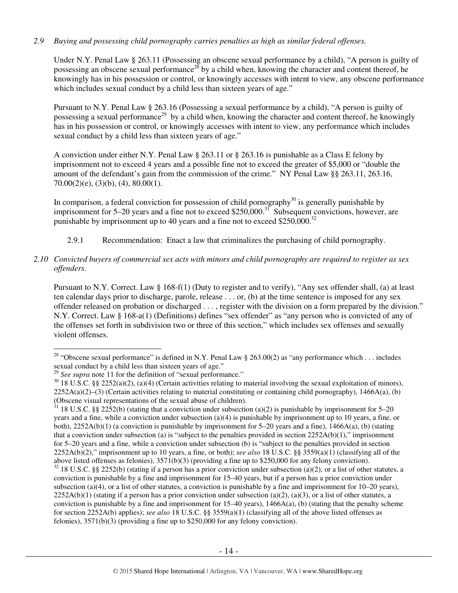# *2.9 Buying and possessing child pornography carries penalties as high as similar federal offenses.*

Under N.Y. Penal Law § 263.11 (Possessing an obscene sexual performance by a child), "A person is guilty of possessing an obscene sexual performance<sup>28</sup> by a child when, knowing the character and content thereof, he knowingly has in his possession or control, or knowingly accesses with intent to view, any obscene performance which includes sexual conduct by a child less than sixteen years of age."

Pursuant to N.Y. Penal Law § 263.16 (Possessing a sexual performance by a child), "A person is guilty of possessing a sexual performance<sup>29</sup> by a child when, knowing the character and content thereof, he knowingly has in his possession or control, or knowingly accesses with intent to view, any performance which includes sexual conduct by a child less than sixteen years of age."

A conviction under either N.Y. Penal Law § 263.11 or § 263.16 is punishable as a Class E felony by imprisonment not to exceed 4 years and a possible fine not to exceed the greater of \$5,000 or "double the amount of the defendant's gain from the commission of the crime." NY Penal Law §§ 263.11, 263.16,  $70.00(2)(e)$ ,  $(3)(b)$ ,  $(4)$ ,  $80.00(1)$ .

In comparison, a federal conviction for possession of child pornography $30$  is generally punishable by imprisonment for 5–20 years and a fine not to exceed \$250,000.<sup>31</sup> Subsequent convictions, however, are punishable by imprisonment up to 40 years and a fine not to exceed \$250,000.<sup>32</sup>

## 2.9.1 Recommendation: Enact a law that criminalizes the purchasing of child pornography.

## *2.10 Convicted buyers of commercial sex acts with minors and child pornography are required to register as sex offenders.*

Pursuant to N.Y. Correct. Law § 168-f(1) (Duty to register and to verify), "Any sex offender shall, (a) at least ten calendar days prior to discharge, parole, release . . . or, (b) at the time sentence is imposed for any sex offender released on probation or discharged . . . , register with the division on a form prepared by the division." N.Y. Correct. Law § 168-a(1) (Definitions) defines "sex offender" as "any person who is convicted of any of the offenses set forth in subdivision two or three of this section," which includes sex offenses and sexually violent offenses.

<sup>&</sup>lt;sup>28</sup> "Obscene sexual performance" is defined in N.Y. Penal Law § 263.00(2) as "any performance which . . . includes sexual conduct by a child less than sixteen years of age."

<sup>&</sup>lt;sup>29</sup> See supra note 11 for the definition of "sexual performance."

 $30\,18$  U.S.C. §§ 2252(a)(2), (a)(4) (Certain activities relating to material involving the sexual exploitation of minors),  $2252A(a)(2)$ –(3) (Certain activities relating to material constituting or containing child pornography), 1466A(a), (b) (Obscene visual representations of the sexual abuse of children).

 $31$  18 U.S.C. §§ 2252(b) (stating that a conviction under subsection (a)(2) is punishable by imprisonment for 5–20 years and a fine, while a conviction under subsection (a)(4) is punishable by imprisonment up to 10 years, a fine, or both), 2252A(b)(1) (a conviction is punishable by imprisonment for 5–20 years and a fine), 1466A(a), (b) (stating that a conviction under subsection (a) is "subject to the penalties provided in section  $2252A(b)(1)$ ," imprisonment for 5–20 years and a fine, while a conviction under subsection (b) is "subject to the penalties provided in section 2252A(b)(2)," imprisonment up to 10 years, a fine, or both); *see also* 18 U.S.C. §§ 3559(a)(1) (classifying all of the above listed offenses as felonies), 3571(b)(3) (providing a fine up to \$250,000 for any felony conviction).

 $32$  18 U.S.C. §§ 2252(b) (stating if a person has a prior conviction under subsection (a)(2), or a list of other statutes, a conviction is punishable by a fine and imprisonment for 15–40 years, but if a person has a prior conviction under subsection (a)(4), or a list of other statutes, a conviction is punishable by a fine and imprisonment for  $10-20$  years),  $2252A(b)(1)$  (stating if a person has a prior conviction under subsection (a)(2), (a)(3), or a list of other statutes, a conviction is punishable by a fine and imprisonment for  $15-40$  years),  $1466A(a)$ , (b) (stating that the penalty scheme for section 2252A(b) applies); *see also* 18 U.S.C. §§ 3559(a)(1) (classifying all of the above listed offenses as felonies), 3571(b)(3) (providing a fine up to \$250,000 for any felony conviction).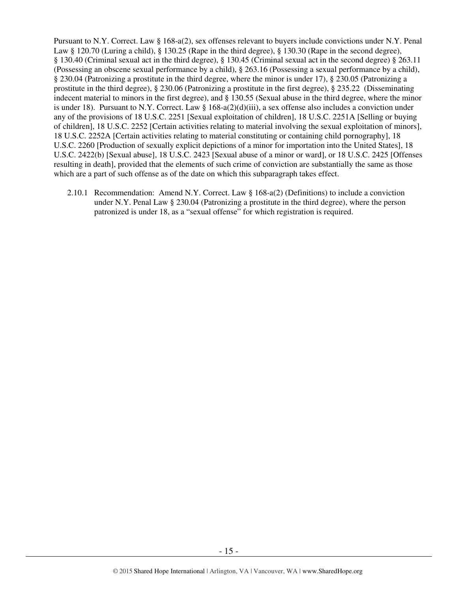Pursuant to N.Y. Correct. Law § 168-a(2), sex offenses relevant to buyers include convictions under N.Y. Penal Law § 120.70 (Luring a child), § 130.25 (Rape in the third degree), § 130.30 (Rape in the second degree), § 130.40 (Criminal sexual act in the third degree), § 130.45 (Criminal sexual act in the second degree) § 263.11 (Possessing an obscene sexual performance by a child), § 263.16 (Possessing a sexual performance by a child), § 230.04 (Patronizing a prostitute in the third degree, where the minor is under 17), § 230.05 (Patronizing a prostitute in the third degree), § 230.06 (Patronizing a prostitute in the first degree), § 235.22 (Disseminating indecent material to minors in the first degree), and § 130.55 (Sexual abuse in the third degree, where the minor is under 18). Pursuant to N.Y. Correct. Law § 168-a(2)(d)(iii), a sex offense also includes a conviction under any of the provisions of 18 U.S.C. 2251 [Sexual exploitation of children], 18 U.S.C. 2251A [Selling or buying of children], 18 U.S.C. 2252 [Certain activities relating to material involving the sexual exploitation of minors], 18 U.S.C. 2252A [Certain activities relating to material constituting or containing child pornography], 18 U.S.C. 2260 [Production of sexually explicit depictions of a minor for importation into the United States], 18 U.S.C. 2422(b) [Sexual abuse], 18 U.S.C. 2423 [Sexual abuse of a minor or ward], or 18 U.S.C. 2425 [Offenses resulting in death], provided that the elements of such crime of conviction are substantially the same as those which are a part of such offense as of the date on which this subparagraph takes effect.

2.10.1 Recommendation: Amend N.Y. Correct. Law § 168-a(2) (Definitions) to include a conviction under N.Y. Penal Law  $\S 230.04$  (Patronizing a prostitute in the third degree), where the person patronized is under 18, as a "sexual offense" for which registration is required.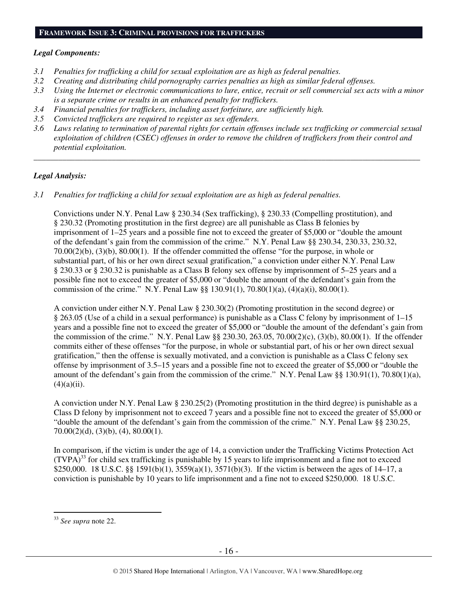#### **FRAMEWORK ISSUE 3: CRIMINAL PROVISIONS FOR TRAFFICKERS**

## *Legal Components:*

- *3.1 Penalties for trafficking a child for sexual exploitation are as high as federal penalties.*
- *3.2 Creating and distributing child pornography carries penalties as high as similar federal offenses.*
- *3.3 Using the Internet or electronic communications to lure, entice, recruit or sell commercial sex acts with a minor is a separate crime or results in an enhanced penalty for traffickers.*
- *3.4 Financial penalties for traffickers, including asset forfeiture, are sufficiently high.*
- *3.5 Convicted traffickers are required to register as sex offenders.*
- *3.6 Laws relating to termination of parental rights for certain offenses include sex trafficking or commercial sexual exploitation of children (CSEC) offenses in order to remove the children of traffickers from their control and potential exploitation.*

*\_\_\_\_\_\_\_\_\_\_\_\_\_\_\_\_\_\_\_\_\_\_\_\_\_\_\_\_\_\_\_\_\_\_\_\_\_\_\_\_\_\_\_\_\_\_\_\_\_\_\_\_\_\_\_\_\_\_\_\_\_\_\_\_\_\_\_\_\_\_\_\_\_\_\_\_\_\_\_\_\_\_\_\_\_\_\_\_\_\_\_\_\_\_* 

# *Legal Analysis:*

*3.1 Penalties for trafficking a child for sexual exploitation are as high as federal penalties.* 

Convictions under N.Y. Penal Law § 230.34 (Sex trafficking), § 230.33 (Compelling prostitution), and § 230.32 (Promoting prostitution in the first degree) are all punishable as Class B felonies by imprisonment of 1–25 years and a possible fine not to exceed the greater of \$5,000 or "double the amount of the defendant's gain from the commission of the crime." N.Y. Penal Law §§ 230.34, 230.33, 230.32, 70.00(2)(b), (3)(b), 80.00(1). If the offender committed the offense "for the purpose, in whole or substantial part, of his or her own direct sexual gratification," a conviction under either N.Y. Penal Law § 230.33 or § 230.32 is punishable as a Class B felony sex offense by imprisonment of 5–25 years and a possible fine not to exceed the greater of \$5,000 or "double the amount of the defendant's gain from the commission of the crime." N.Y. Penal Law  $\S$  130.91(1), 70.80(1)(a), (4)(a)(i), 80.00(1).

A conviction under either N.Y. Penal Law § 230.30(2) (Promoting prostitution in the second degree) or § 263.05 (Use of a child in a sexual performance) is punishable as a Class C felony by imprisonment of 1–15 years and a possible fine not to exceed the greater of \$5,000 or "double the amount of the defendant's gain from the commission of the crime." N.Y. Penal Law §§ 230.30, 263.05, 70.00(2)(c), (3)(b), 80.00(1). If the offender commits either of these offenses "for the purpose, in whole or substantial part, of his or her own direct sexual gratification," then the offense is sexually motivated, and a conviction is punishable as a Class C felony sex offense by imprisonment of 3.5–15 years and a possible fine not to exceed the greater of \$5,000 or "double the amount of the defendant's gain from the commission of the crime." N.Y. Penal Law §§ 130.91(1), 70.80(1)(a),  $(4)(a)(ii)$ .

A conviction under N.Y. Penal Law § 230.25(2) (Promoting prostitution in the third degree) is punishable as a Class D felony by imprisonment not to exceed 7 years and a possible fine not to exceed the greater of \$5,000 or "double the amount of the defendant's gain from the commission of the crime." N.Y. Penal Law §§ 230.25,  $70.00(2)(d)$ ,  $(3)(b)$ ,  $(4)$ ,  $80.00(1)$ .

In comparison, if the victim is under the age of 14, a conviction under the Trafficking Victims Protection Act  $(TVPA)<sup>33</sup>$  for child sex trafficking is punishable by 15 years to life imprisonment and a fine not to exceed \$250,000. 18 U.S.C. §§ 1591(b)(1), 3559(a)(1), 3571(b)(3). If the victim is between the ages of 14–17, a conviction is punishable by 10 years to life imprisonment and a fine not to exceed \$250,000. 18 U.S.C.

<sup>33</sup> *See supra* note 22.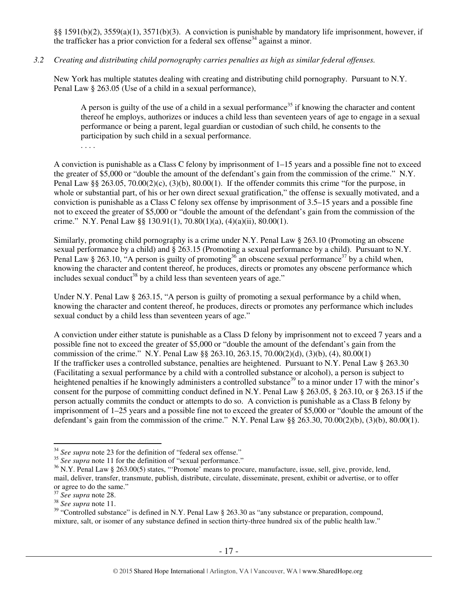§§ 1591(b)(2), 3559(a)(1), 3571(b)(3). A conviction is punishable by mandatory life imprisonment, however, if the trafficker has a prior conviction for a federal sex offense<sup>34</sup> against a minor.

# *3.2 Creating and distributing child pornography carries penalties as high as similar federal offenses.*

New York has multiple statutes dealing with creating and distributing child pornography. Pursuant to N.Y. Penal Law § 263.05 (Use of a child in a sexual performance),

A person is guilty of the use of a child in a sexual performance<sup>35</sup> if knowing the character and content thereof he employs, authorizes or induces a child less than seventeen years of age to engage in a sexual performance or being a parent, legal guardian or custodian of such child, he consents to the participation by such child in a sexual performance.

A conviction is punishable as a Class C felony by imprisonment of 1–15 years and a possible fine not to exceed the greater of \$5,000 or "double the amount of the defendant's gain from the commission of the crime." N.Y. Penal Law §§ 263.05, 70.00(2)(c), (3)(b), 80.00(1). If the offender commits this crime "for the purpose, in whole or substantial part, of his or her own direct sexual gratification," the offense is sexually motivated, and a conviction is punishable as a Class C felony sex offense by imprisonment of 3.5–15 years and a possible fine not to exceed the greater of \$5,000 or "double the amount of the defendant's gain from the commission of the crime." N.Y. Penal Law §§ 130.91(1), 70.80(1)(a), (4)(a)(ii), 80.00(1).

Similarly, promoting child pornography is a crime under N.Y. Penal Law § 263.10 (Promoting an obscene sexual performance by a child) and § 263.15 (Promoting a sexual performance by a child). Pursuant to N.Y. Penal Law § 263.10, "A person is guilty of promoting<sup>36</sup> an obscene sexual performance<sup>37</sup> by a child when, knowing the character and content thereof, he produces, directs or promotes any obscene performance which includes sexual conduct<sup>38</sup> by a child less than seventeen years of age."

Under N.Y. Penal Law § 263.15, "A person is guilty of promoting a sexual performance by a child when. knowing the character and content thereof, he produces, directs or promotes any performance which includes sexual conduct by a child less than seventeen years of age."

A conviction under either statute is punishable as a Class D felony by imprisonment not to exceed 7 years and a possible fine not to exceed the greater of \$5,000 or "double the amount of the defendant's gain from the commission of the crime." N.Y. Penal Law §§ 263.10, 263.15, 70.00(2)(d), (3)(b), (4), 80.00(1) If the trafficker uses a controlled substance, penalties are heightened. Pursuant to N.Y. Penal Law § 263.30 (Facilitating a sexual performance by a child with a controlled substance or alcohol), a person is subject to heightened penalties if he knowingly administers a controlled substance<sup>39</sup> to a minor under 17 with the minor's consent for the purpose of committing conduct defined in N.Y. Penal Law § 263.05, § 263.10, or § 263.15 if the person actually commits the conduct or attempts to do so. A conviction is punishable as a Class B felony by imprisonment of 1–25 years and a possible fine not to exceed the greater of \$5,000 or "double the amount of the defendant's gain from the commission of the crime." N.Y. Penal Law §§ 263.30, 70.00(2)(b), (3)(b), 80.00(1).

. . . .

 $\overline{a}$ <sup>34</sup> See supra note 23 for the definition of "federal sex offense."

<sup>&</sup>lt;sup>35</sup> See supra note 11 for the definition of "sexual performance."

<sup>&</sup>lt;sup>36</sup> N.Y. Penal Law § 263.00(5) states, "'Promote' means to procure, manufacture, issue, sell, give, provide, lend, mail, deliver, transfer, transmute, publish, distribute, circulate, disseminate, present, exhibit or advertise, or to offer or agree to do the same."

<sup>37</sup> *See supra* note 28.

<sup>38</sup> *See supra* note 11.

<sup>&</sup>lt;sup>39</sup> "Controlled substance" is defined in N.Y. Penal Law § 263.30 as "any substance or preparation, compound, mixture, salt, or isomer of any substance defined in section thirty-three hundred six of the public health law."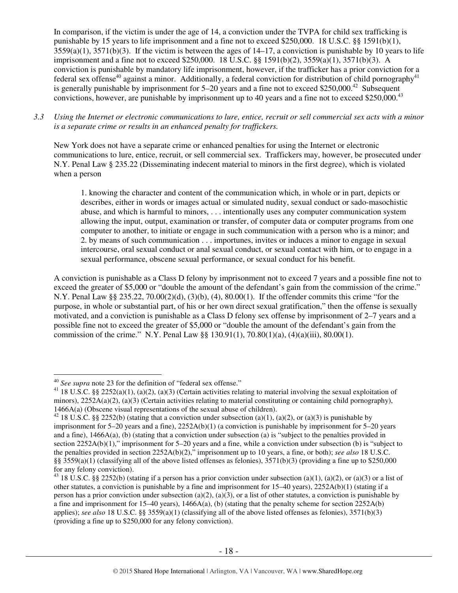In comparison, if the victim is under the age of 14, a conviction under the TVPA for child sex trafficking is punishable by 15 years to life imprisonment and a fine not to exceed \$250,000. 18 U.S.C. §§ 1591(b)(1),  $3559(a)(1)$ ,  $3571(b)(3)$ . If the victim is between the ages of  $14-17$ , a conviction is punishable by 10 years to life imprisonment and a fine not to exceed \$250,000. 18 U.S.C. §§ 1591(b)(2), 3559(a)(1), 3571(b)(3). A conviction is punishable by mandatory life imprisonment, however, if the trafficker has a prior conviction for a federal sex offense<sup>40</sup> against a minor. Additionally, a federal conviction for distribution of child pornography<sup>41</sup> is generally punishable by imprisonment for  $5-20$  years and a fine not to exceed \$250,000.<sup>42</sup> Subsequent convictions, however, are punishable by imprisonment up to 40 years and a fine not to exceed \$250,000.<sup>43</sup>

*3.3 Using the Internet or electronic communications to lure, entice, recruit or sell commercial sex acts with a minor is a separate crime or results in an enhanced penalty for traffickers.* 

New York does not have a separate crime or enhanced penalties for using the Internet or electronic communications to lure, entice, recruit, or sell commercial sex. Traffickers may, however, be prosecuted under N.Y. Penal Law § 235.22 (Disseminating indecent material to minors in the first degree), which is violated when a person

1. knowing the character and content of the communication which, in whole or in part, depicts or describes, either in words or images actual or simulated nudity, sexual conduct or sado-masochistic abuse, and which is harmful to minors, . . . intentionally uses any computer communication system allowing the input, output, examination or transfer, of computer data or computer programs from one computer to another, to initiate or engage in such communication with a person who is a minor; and 2. by means of such communication . . . importunes, invites or induces a minor to engage in sexual intercourse, oral sexual conduct or anal sexual conduct, or sexual contact with him, or to engage in a sexual performance, obscene sexual performance, or sexual conduct for his benefit.

A conviction is punishable as a Class D felony by imprisonment not to exceed 7 years and a possible fine not to exceed the greater of \$5,000 or "double the amount of the defendant's gain from the commission of the crime." N.Y. Penal Law §§ 235.22, 70.00(2)(d), (3)(b), (4), 80.00(1). If the offender commits this crime "for the purpose, in whole or substantial part, of his or her own direct sexual gratification," then the offense is sexually motivated, and a conviction is punishable as a Class D felony sex offense by imprisonment of 2–7 years and a possible fine not to exceed the greater of \$5,000 or "double the amount of the defendant's gain from the commission of the crime." N.Y. Penal Law §§ 130.91(1), 70.80(1)(a), (4)(a)(iii), 80.00(1).

<sup>40</sup> *See supra* note 23 for the definition of "federal sex offense."

<sup>&</sup>lt;sup>41</sup> 18 U.S.C. §§ 2252(a)(1), (a)(2), (a)(3) (Certain activities relating to material involving the sexual exploitation of minors), 2252A(a)(2), (a)(3) (Certain activities relating to material constituting or containing child pornography), 1466A(a) (Obscene visual representations of the sexual abuse of children).

<sup>&</sup>lt;sup>42</sup> 18 U.S.C. §§ 2252(b) (stating that a conviction under subsection (a)(1), (a)(2), or (a)(3) is punishable by imprisonment for 5–20 years and a fine), 2252A(b)(1) (a conviction is punishable by imprisonment for 5–20 years and a fine), 1466A(a), (b) (stating that a conviction under subsection (a) is "subject to the penalties provided in section 2252A(b)(1)," imprisonment for 5–20 years and a fine, while a conviction under subsection (b) is "subject to the penalties provided in section 2252A(b)(2)," imprisonment up to 10 years, a fine, or both); *see also* 18 U.S.C. §§ 3559(a)(1) (classifying all of the above listed offenses as felonies), 3571(b)(3) (providing a fine up to \$250,000 for any felony conviction).

<sup>&</sup>lt;sup>43</sup> 18 U.S.C. §§ 2252(b) (stating if a person has a prior conviction under subsection (a)(1), (a)(2), or (a)(3) or a list of other statutes, a conviction is punishable by a fine and imprisonment for  $15-40$  years),  $2252A(b)(1)$  (stating if a person has a prior conviction under subsection (a)(2), (a)(3), or a list of other statutes, a conviction is punishable by a fine and imprisonment for 15–40 years),  $1466A(a)$ , (b) (stating that the penalty scheme for section 2252A(b) applies); *see also* 18 U.S.C. §§ 3559(a)(1) (classifying all of the above listed offenses as felonies), 3571(b)(3) (providing a fine up to \$250,000 for any felony conviction).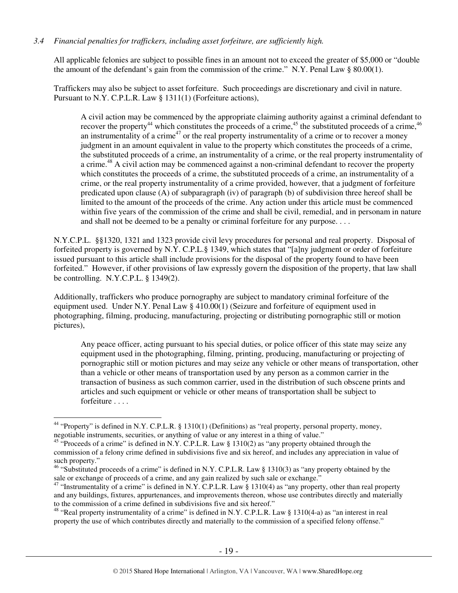# *3.4 Financial penalties for traffickers, including asset forfeiture, are sufficiently high.*

All applicable felonies are subject to possible fines in an amount not to exceed the greater of \$5,000 or "double the amount of the defendant's gain from the commission of the crime." N.Y. Penal Law § 80.00(1).

Traffickers may also be subject to asset forfeiture. Such proceedings are discretionary and civil in nature. Pursuant to N.Y. C.P.L.R. Law § 1311(1) (Forfeiture actions),

A civil action may be commenced by the appropriate claiming authority against a criminal defendant to recover the property<sup>44</sup> which constitutes the proceeds of a crime,<sup>45</sup> the substituted proceeds of a crime,<sup>46</sup> an instrumentality of a crime<sup>47</sup> or the real property instrumentality of a crime or to recover a money judgment in an amount equivalent in value to the property which constitutes the proceeds of a crime, the substituted proceeds of a crime, an instrumentality of a crime, or the real property instrumentality of a crime.<sup>48</sup> A civil action may be commenced against a non-criminal defendant to recover the property which constitutes the proceeds of a crime, the substituted proceeds of a crime, an instrumentality of a crime, or the real property instrumentality of a crime provided, however, that a judgment of forfeiture predicated upon clause (A) of subparagraph (iv) of paragraph (b) of subdivision three hereof shall be limited to the amount of the proceeds of the crime. Any action under this article must be commenced within five years of the commission of the crime and shall be civil, remedial, and in personam in nature and shall not be deemed to be a penalty or criminal forfeiture for any purpose. . . .

N.Y.C.P.L. §§1320, 1321 and 1323 provide civil levy procedures for personal and real property. Disposal of forfeited property is governed by N.Y. C.P.L.§ 1349, which states that "[a]ny judgment or order of forfeiture issued pursuant to this article shall include provisions for the disposal of the property found to have been forfeited." However, if other provisions of law expressly govern the disposition of the property, that law shall be controlling. N.Y.C.P.L. § 1349(2).

Additionally, traffickers who produce pornography are subject to mandatory criminal forfeiture of the equipment used. Under N.Y. Penal Law § 410.00(1) (Seizure and forfeiture of equipment used in photographing, filming, producing, manufacturing, projecting or distributing pornographic still or motion pictures),

Any peace officer, acting pursuant to his special duties, or police officer of this state may seize any equipment used in the photographing, filming, printing, producing, manufacturing or projecting of pornographic still or motion pictures and may seize any vehicle or other means of transportation, other than a vehicle or other means of transportation used by any person as a common carrier in the transaction of business as such common carrier, used in the distribution of such obscene prints and articles and such equipment or vehicle or other means of transportation shall be subject to forfeiture . . . .

<sup>&</sup>lt;sup>44</sup> "Property" is defined in N.Y. C.P.L.R. § 1310(1) (Definitions) as "real property, personal property, money, negotiable instruments, securities, or anything of value or any interest in a thing of value."

<sup>&</sup>lt;sup>45</sup> "Proceeds of a crime" is defined in N.Y. C.P.L.R. Law § 1310(2) as "any property obtained through the commission of a felony crime defined in subdivisions five and six hereof, and includes any appreciation in value of such property."

<sup>&</sup>lt;sup>46</sup> "Substituted proceeds of a crime" is defined in N.Y. C.P.L.R. Law § 1310(3) as "any property obtained by the sale or exchange of proceeds of a crime, and any gain realized by such sale or exchange."

<sup>&</sup>lt;sup>47</sup> "Instrumentality of a crime" is defined in N.Y. C.P.L.R. Law § 1310(4) as "any property, other than real property and any buildings, fixtures, appurtenances, and improvements thereon, whose use contributes directly and materially to the commission of a crime defined in subdivisions five and six hereof."

<sup>&</sup>lt;sup>48</sup> "Real property instrumentality of a crime" is defined in N.Y. C.P.L.R. Law § 1310(4-a) as "an interest in real property the use of which contributes directly and materially to the commission of a specified felony offense."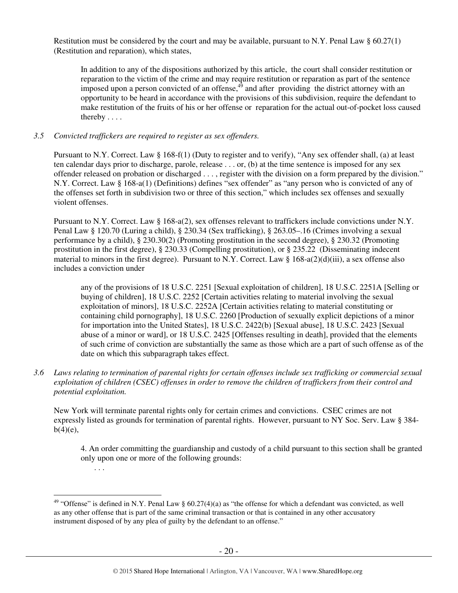Restitution must be considered by the court and may be available, pursuant to N.Y. Penal Law  $\S 60.27(1)$ (Restitution and reparation), which states,

In addition to any of the dispositions authorized by this article, the court shall consider restitution or reparation to the victim of the crime and may require restitution or reparation as part of the sentence imposed upon a person convicted of an offense,  $49$  and after providing the district attorney with an opportunity to be heard in accordance with the provisions of this subdivision, require the defendant to make restitution of the fruits of his or her offense or reparation for the actual out-of-pocket loss caused thereby . . . .

## *3.5 Convicted traffickers are required to register as sex offenders.*

Pursuant to N.Y. Correct. Law § 168-f(1) (Duty to register and to verify), "Any sex offender shall, (a) at least ten calendar days prior to discharge, parole, release . . . or, (b) at the time sentence is imposed for any sex offender released on probation or discharged . . . , register with the division on a form prepared by the division." N.Y. Correct. Law § 168-a(1) (Definitions) defines "sex offender" as "any person who is convicted of any of the offenses set forth in subdivision two or three of this section," which includes sex offenses and sexually violent offenses.

Pursuant to N.Y. Correct. Law § 168-a(2), sex offenses relevant to traffickers include convictions under N.Y. Penal Law § 120.70 (Luring a child), § 230.34 (Sex trafficking), § 263.05–.16 (Crimes involving a sexual performance by a child), § 230.30(2) (Promoting prostitution in the second degree), § 230.32 (Promoting prostitution in the first degree), § 230.33 (Compelling prostitution), or § 235.22 (Disseminating indecent material to minors in the first degree). Pursuant to N.Y. Correct. Law §  $168-a(2)(d)(iii)$ , a sex offense also includes a conviction under

any of the provisions of 18 U.S.C. 2251 [Sexual exploitation of children], 18 U.S.C. 2251A [Selling or buying of children], 18 U.S.C. 2252 [Certain activities relating to material involving the sexual exploitation of minors], 18 U.S.C. 2252A [Certain activities relating to material constituting or containing child pornography], 18 U.S.C. 2260 [Production of sexually explicit depictions of a minor for importation into the United States], 18 U.S.C. 2422(b) [Sexual abuse], 18 U.S.C. 2423 [Sexual abuse of a minor or ward], or 18 U.S.C. 2425 [Offenses resulting in death], provided that the elements of such crime of conviction are substantially the same as those which are a part of such offense as of the date on which this subparagraph takes effect.

*3.6 Laws relating to termination of parental rights for certain offenses include sex trafficking or commercial sexual exploitation of children (CSEC) offenses in order to remove the children of traffickers from their control and potential exploitation.* 

New York will terminate parental rights only for certain crimes and convictions. CSEC crimes are not expressly listed as grounds for termination of parental rights. However, pursuant to NY Soc. Serv. Law § 384  $b(4)(e)$ ,

4. An order committing the guardianship and custody of a child pursuant to this section shall be granted only upon one or more of the following grounds:

<sup>. . .</sup> 

<sup>&</sup>lt;sup>49</sup> "Offense" is defined in N.Y. Penal Law §  $60.27(4)(a)$  as "the offense for which a defendant was convicted, as well as any other offense that is part of the same criminal transaction or that is contained in any other accusatory instrument disposed of by any plea of guilty by the defendant to an offense."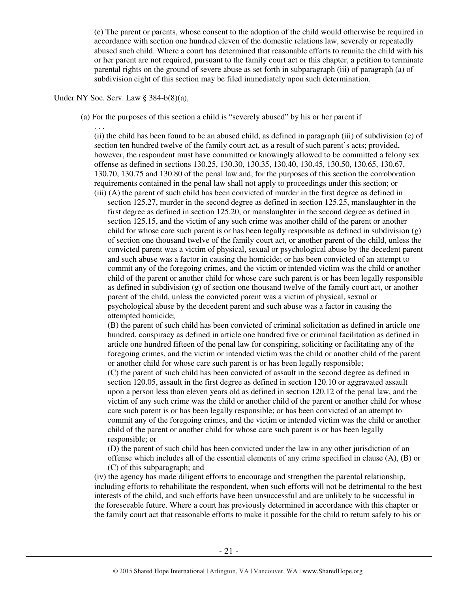(e) The parent or parents, whose consent to the adoption of the child would otherwise be required in accordance with section one hundred eleven of the domestic relations law, severely or repeatedly abused such child. Where a court has determined that reasonable efforts to reunite the child with his or her parent are not required, pursuant to the family court act or this chapter, a petition to terminate parental rights on the ground of severe abuse as set forth in subparagraph (iii) of paragraph (a) of subdivision eight of this section may be filed immediately upon such determination.

#### Under NY Soc. Serv. Law § 384-b(8)(a),

(a) For the purposes of this section a child is "severely abused" by his or her parent if

. . . (ii) the child has been found to be an abused child, as defined in paragraph (iii) of subdivision (e) of section ten hundred twelve of the family court act, as a result of such parent's acts; provided, however, the respondent must have committed or knowingly allowed to be committed a felony sex offense as defined in sections 130.25, 130.30, 130.35, 130.40, 130.45, 130.50, 130.65, 130.67, 130.70, 130.75 and 130.80 of the penal law and, for the purposes of this section the corroboration requirements contained in the penal law shall not apply to proceedings under this section; or (iii) (A) the parent of such child has been convicted of murder in the first degree as defined in

section 125.27, murder in the second degree as defined in section 125.25, manslaughter in the first degree as defined in section 125.20, or manslaughter in the second degree as defined in section 125.15, and the victim of any such crime was another child of the parent or another child for whose care such parent is or has been legally responsible as defined in subdivision (g) of section one thousand twelve of the family court act, or another parent of the child, unless the convicted parent was a victim of physical, sexual or psychological abuse by the decedent parent and such abuse was a factor in causing the homicide; or has been convicted of an attempt to commit any of the foregoing crimes, and the victim or intended victim was the child or another child of the parent or another child for whose care such parent is or has been legally responsible as defined in subdivision (g) of section one thousand twelve of the family court act, or another parent of the child, unless the convicted parent was a victim of physical, sexual or psychological abuse by the decedent parent and such abuse was a factor in causing the attempted homicide;

(B) the parent of such child has been convicted of criminal solicitation as defined in article one hundred, conspiracy as defined in article one hundred five or criminal facilitation as defined in article one hundred fifteen of the penal law for conspiring, soliciting or facilitating any of the foregoing crimes, and the victim or intended victim was the child or another child of the parent or another child for whose care such parent is or has been legally responsible;

(C) the parent of such child has been convicted of assault in the second degree as defined in section 120.05, assault in the first degree as defined in section 120.10 or aggravated assault upon a person less than eleven years old as defined in section 120.12 of the penal law, and the victim of any such crime was the child or another child of the parent or another child for whose care such parent is or has been legally responsible; or has been convicted of an attempt to commit any of the foregoing crimes, and the victim or intended victim was the child or another child of the parent or another child for whose care such parent is or has been legally responsible; or

(D) the parent of such child has been convicted under the law in any other jurisdiction of an offense which includes all of the essential elements of any crime specified in clause (A), (B) or (C) of this subparagraph; and

(iv) the agency has made diligent efforts to encourage and strengthen the parental relationship, including efforts to rehabilitate the respondent, when such efforts will not be detrimental to the best interests of the child, and such efforts have been unsuccessful and are unlikely to be successful in the foreseeable future. Where a court has previously determined in accordance with this chapter or the family court act that reasonable efforts to make it possible for the child to return safely to his or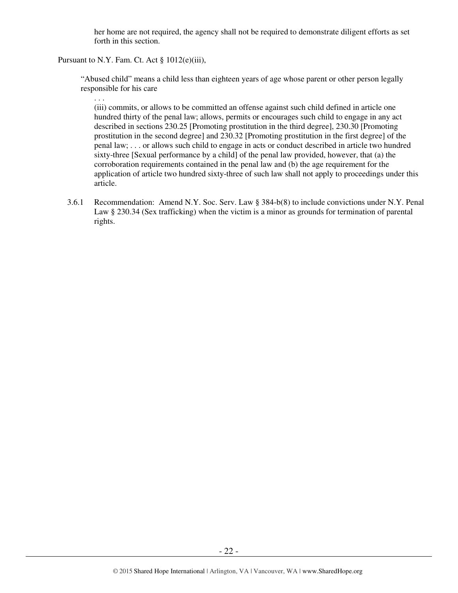her home are not required, the agency shall not be required to demonstrate diligent efforts as set forth in this section.

Pursuant to N.Y. Fam. Ct. Act § 1012(e)(iii),

"Abused child" means a child less than eighteen years of age whose parent or other person legally responsible for his care

. . .

(iii) commits, or allows to be committed an offense against such child defined in article one hundred thirty of the penal law; allows, permits or encourages such child to engage in any act described in sections 230.25 [Promoting prostitution in the third degree], 230.30 [Promoting prostitution in the second degree] and 230.32 [Promoting prostitution in the first degree] of the penal law; . . . or allows such child to engage in acts or conduct described in article two hundred sixty-three [Sexual performance by a child] of the penal law provided, however, that (a) the corroboration requirements contained in the penal law and (b) the age requirement for the application of article two hundred sixty-three of such law shall not apply to proceedings under this article.

3.6.1 Recommendation: Amend N.Y. Soc. Serv. Law § 384-b(8) to include convictions under N.Y. Penal Law § 230.34 (Sex trafficking) when the victim is a minor as grounds for termination of parental rights.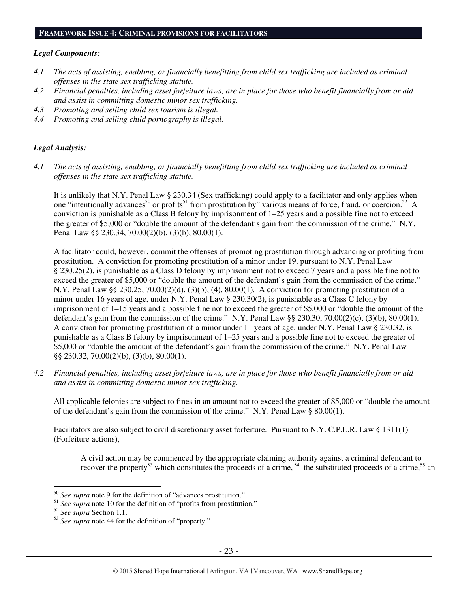#### **FRAMEWORK ISSUE 4: CRIMINAL PROVISIONS FOR FACILITATORS**

#### *Legal Components:*

- *4.1 The acts of assisting, enabling, or financially benefitting from child sex trafficking are included as criminal offenses in the state sex trafficking statute.*
- *4.2 Financial penalties, including asset forfeiture laws, are in place for those who benefit financially from or aid and assist in committing domestic minor sex trafficking.*

*\_\_\_\_\_\_\_\_\_\_\_\_\_\_\_\_\_\_\_\_\_\_\_\_\_\_\_\_\_\_\_\_\_\_\_\_\_\_\_\_\_\_\_\_\_\_\_\_\_\_\_\_\_\_\_\_\_\_\_\_\_\_\_\_\_\_\_\_\_\_\_\_\_\_\_\_\_\_\_\_\_\_\_\_\_\_\_\_\_\_\_\_\_\_* 

- *4.3 Promoting and selling child sex tourism is illegal.*
- *4.4 Promoting and selling child pornography is illegal.*

## *Legal Analysis:*

*4.1 The acts of assisting, enabling, or financially benefitting from child sex trafficking are included as criminal offenses in the state sex trafficking statute.* 

It is unlikely that N.Y. Penal Law § 230.34 (Sex trafficking) could apply to a facilitator and only applies when one "intentionally advances<sup>50</sup> or profits<sup>51</sup> from prostitution by" various means of force, fraud, or coercion.<sup>52</sup> A conviction is punishable as a Class B felony by imprisonment of 1–25 years and a possible fine not to exceed the greater of \$5,000 or "double the amount of the defendant's gain from the commission of the crime." N.Y. Penal Law §§ 230.34, 70.00(2)(b), (3)(b), 80.00(1).

A facilitator could, however, commit the offenses of promoting prostitution through advancing or profiting from prostitution. A conviction for promoting prostitution of a minor under 19, pursuant to N.Y. Penal Law § 230.25(2), is punishable as a Class D felony by imprisonment not to exceed 7 years and a possible fine not to exceed the greater of \$5,000 or "double the amount of the defendant's gain from the commission of the crime." N.Y. Penal Law §§ 230.25, 70.00(2)(d), (3)(b), (4), 80.00(1). A conviction for promoting prostitution of a minor under 16 years of age, under N.Y. Penal Law § 230.30(2), is punishable as a Class C felony by imprisonment of 1–15 years and a possible fine not to exceed the greater of \$5,000 or "double the amount of the defendant's gain from the commission of the crime." N.Y. Penal Law  $\S$ § 230.30, 70.00(2)(c), (3)(b), 80.00(1). A conviction for promoting prostitution of a minor under 11 years of age, under N.Y. Penal Law § 230.32, is punishable as a Class B felony by imprisonment of 1–25 years and a possible fine not to exceed the greater of \$5,000 or "double the amount of the defendant's gain from the commission of the crime." N.Y. Penal Law §§ 230.32, 70.00(2)(b), (3)(b), 80.00(1).

*4.2 Financial penalties, including asset forfeiture laws, are in place for those who benefit financially from or aid and assist in committing domestic minor sex trafficking.* 

All applicable felonies are subject to fines in an amount not to exceed the greater of \$5,000 or "double the amount of the defendant's gain from the commission of the crime." N.Y. Penal Law § 80.00(1).

Facilitators are also subject to civil discretionary asset forfeiture. Pursuant to N.Y. C.P.L.R. Law § 1311(1) (Forfeiture actions),

A civil action may be commenced by the appropriate claiming authority against a criminal defendant to recover the property<sup>53</sup> which constitutes the proceeds of a crime,<sup>54</sup> the substituted proceeds of a crime,<sup>55</sup> an

<sup>50</sup> *See supra* note 9 for the definition of "advances prostitution."

<sup>&</sup>lt;sup>51</sup> See supra note 10 for the definition of "profits from prostitution."

<sup>52</sup> *See supra* Section 1.1.

<sup>&</sup>lt;sup>53</sup> See supra note 44 for the definition of "property."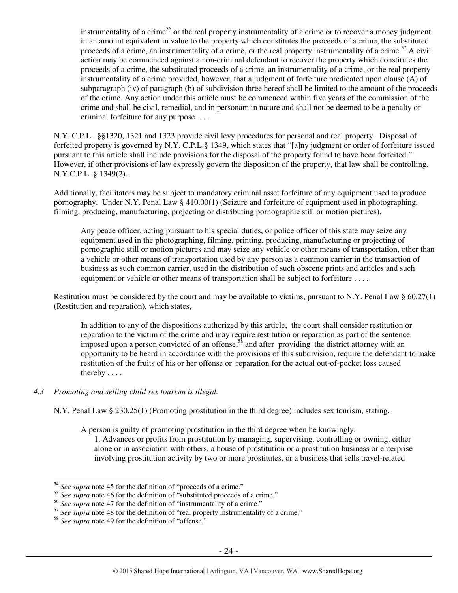instrumentality of a crime<sup>56</sup> or the real property instrumentality of a crime or to recover a money judgment in an amount equivalent in value to the property which constitutes the proceeds of a crime, the substituted proceeds of a crime, an instrumentality of a crime, or the real property instrumentality of a crime.<sup>57</sup> A civil action may be commenced against a non-criminal defendant to recover the property which constitutes the proceeds of a crime, the substituted proceeds of a crime, an instrumentality of a crime, or the real property instrumentality of a crime provided, however, that a judgment of forfeiture predicated upon clause (A) of subparagraph (iv) of paragraph (b) of subdivision three hereof shall be limited to the amount of the proceeds of the crime. Any action under this article must be commenced within five years of the commission of the crime and shall be civil, remedial, and in personam in nature and shall not be deemed to be a penalty or criminal forfeiture for any purpose. . . .

N.Y. C.P.L. §§1320, 1321 and 1323 provide civil levy procedures for personal and real property. Disposal of forfeited property is governed by N.Y. C.P.L.§ 1349, which states that "[a]ny judgment or order of forfeiture issued pursuant to this article shall include provisions for the disposal of the property found to have been forfeited." However, if other provisions of law expressly govern the disposition of the property, that law shall be controlling. N.Y.C.P.L. § 1349(2).

Additionally, facilitators may be subject to mandatory criminal asset forfeiture of any equipment used to produce pornography. Under N.Y. Penal Law § 410.00(1) (Seizure and forfeiture of equipment used in photographing, filming, producing, manufacturing, projecting or distributing pornographic still or motion pictures),

Any peace officer, acting pursuant to his special duties, or police officer of this state may seize any equipment used in the photographing, filming, printing, producing, manufacturing or projecting of pornographic still or motion pictures and may seize any vehicle or other means of transportation, other than a vehicle or other means of transportation used by any person as a common carrier in the transaction of business as such common carrier, used in the distribution of such obscene prints and articles and such equipment or vehicle or other means of transportation shall be subject to forfeiture . . . .

Restitution must be considered by the court and may be available to victims, pursuant to N.Y. Penal Law  $\S 60.27(1)$ (Restitution and reparation), which states,

In addition to any of the dispositions authorized by this article, the court shall consider restitution or reparation to the victim of the crime and may require restitution or reparation as part of the sentence imposed upon a person convicted of an offense,<sup>58</sup> and after providing the district attorney with an opportunity to be heard in accordance with the provisions of this subdivision, require the defendant to make restitution of the fruits of his or her offense or reparation for the actual out-of-pocket loss caused thereby . . . .

## *4.3 Promoting and selling child sex tourism is illegal.*

N.Y. Penal Law § 230.25(1) (Promoting prostitution in the third degree) includes sex tourism, stating,

A person is guilty of promoting prostitution in the third degree when he knowingly:

1. Advances or profits from prostitution by managing, supervising, controlling or owning, either alone or in association with others, a house of prostitution or a prostitution business or enterprise involving prostitution activity by two or more prostitutes, or a business that sells travel-related

 $\overline{a}$ <sup>54</sup> *See supra* note 45 for the definition of "proceeds of a crime."

<sup>&</sup>lt;sup>55</sup> See supra note 46 for the definition of "substituted proceeds of a crime."

<sup>56</sup> *See supra* note 47 for the definition of "instrumentality of a crime."

<sup>&</sup>lt;sup>57</sup> See supra note 48 for the definition of "real property instrumentality of a crime."

<sup>58</sup> *See supra* note 49 for the definition of "offense."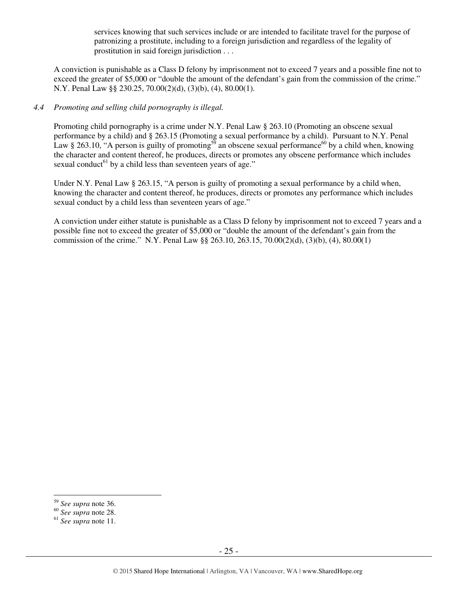services knowing that such services include or are intended to facilitate travel for the purpose of patronizing a prostitute, including to a foreign jurisdiction and regardless of the legality of prostitution in said foreign jurisdiction . . .

A conviction is punishable as a Class D felony by imprisonment not to exceed 7 years and a possible fine not to exceed the greater of \$5,000 or "double the amount of the defendant's gain from the commission of the crime." N.Y. Penal Law §§ 230.25, 70.00(2)(d), (3)(b), (4), 80.00(1).

# *4.4 Promoting and selling child pornography is illegal.*

Promoting child pornography is a crime under N.Y. Penal Law § 263.10 (Promoting an obscene sexual performance by a child) and § 263.15 (Promoting a sexual performance by a child). Pursuant to N.Y. Penal Law § 263.10, "A person is guilty of promoting<sup>59</sup> an obscene sexual performance<sup>60</sup> by a child when, knowing the character and content thereof, he produces, directs or promotes any obscene performance which includes sexual conduct<sup>61</sup> by a child less than seventeen years of age."

Under N.Y. Penal Law § 263.15, "A person is guilty of promoting a sexual performance by a child when, knowing the character and content thereof, he produces, directs or promotes any performance which includes sexual conduct by a child less than seventeen years of age."

A conviction under either statute is punishable as a Class D felony by imprisonment not to exceed 7 years and a possible fine not to exceed the greater of \$5,000 or "double the amount of the defendant's gain from the commission of the crime." N.Y. Penal Law §§ 263.10, 263.15, 70.00(2)(d), (3)(b), (4), 80.00(1)

<sup>59</sup> *See supra* note 36.

<sup>60</sup> *See supra* note 28.

<sup>61</sup> *See supra* note 11.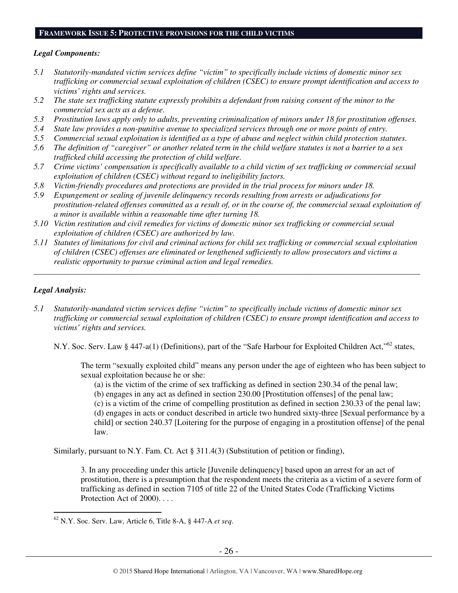## **FRAMEWORK ISSUE 5: PROTECTIVE PROVISIONS FOR THE CHILD VICTIMS**

# *Legal Components:*

- *5.1 Statutorily-mandated victim services define "victim" to specifically include victims of domestic minor sex trafficking or commercial sexual exploitation of children (CSEC) to ensure prompt identification and access to victims' rights and services.*
- *5.2 The state sex trafficking statute expressly prohibits a defendant from raising consent of the minor to the commercial sex acts as a defense.*
- *5.3 Prostitution laws apply only to adults, preventing criminalization of minors under 18 for prostitution offenses.*
- *5.4 State law provides a non-punitive avenue to specialized services through one or more points of entry.*
- *5.5 Commercial sexual exploitation is identified as a type of abuse and neglect within child protection statutes.*
- *5.6 The definition of "caregiver" or another related term in the child welfare statutes is not a barrier to a sex trafficked child accessing the protection of child welfare.*
- *5.7 Crime victims' compensation is specifically available to a child victim of sex trafficking or commercial sexual exploitation of children (CSEC) without regard to ineligibility factors.*
- *5.8 Victim-friendly procedures and protections are provided in the trial process for minors under 18.*
- *5.9 Expungement or sealing of juvenile delinquency records resulting from arrests or adjudications for prostitution-related offenses committed as a result of, or in the course of, the commercial sexual exploitation of a minor is available within a reasonable time after turning 18.*
- *5.10 Victim restitution and civil remedies for victims of domestic minor sex trafficking or commercial sexual exploitation of children (CSEC) are authorized by law.*
- *5.11 Statutes of limitations for civil and criminal actions for child sex trafficking or commercial sexual exploitation of children (CSEC) offenses are eliminated or lengthened sufficiently to allow prosecutors and victims a realistic opportunity to pursue criminal action and legal remedies.*

*\_\_\_\_\_\_\_\_\_\_\_\_\_\_\_\_\_\_\_\_\_\_\_\_\_\_\_\_\_\_\_\_\_\_\_\_\_\_\_\_\_\_\_\_\_\_\_\_\_\_\_\_\_\_\_\_\_\_\_\_\_\_\_\_\_\_\_\_\_\_\_\_\_\_\_\_\_\_\_\_\_\_\_\_\_\_\_\_\_\_\_\_\_\_* 

# *Legal Analysis:*

 $\overline{a}$ 

*5.1 Statutorily-mandated victim services define "victim" to specifically include victims of domestic minor sex trafficking or commercial sexual exploitation of children (CSEC) to ensure prompt identification and access to victims' rights and services.* 

N.Y. Soc. Serv. Law § 447-a(1) (Definitions), part of the "Safe Harbour for Exploited Children Act,"<sup>62</sup> states,

The term "sexually exploited child" means any person under the age of eighteen who has been subject to sexual exploitation because he or she:

(a) is the victim of the crime of sex trafficking as defined in section 230.34 of the penal law;

(b) engages in any act as defined in section 230.00 [Prostitution offenses] of the penal law;

(c) is a victim of the crime of compelling prostitution as defined in section 230.33 of the penal law; (d) engages in acts or conduct described in article two hundred sixty-three [Sexual performance by a child] or section 240.37 [Loitering for the purpose of engaging in a prostitution offense] of the penal law.

Similarly, pursuant to N.Y. Fam. Ct. Act § 311.4(3) (Substitution of petition or finding),

3. In any proceeding under this article [Juvenile delinquency] based upon an arrest for an act of prostitution, there is a presumption that the respondent meets the criteria as a victim of a severe form of trafficking as defined in section 7105 of title 22 of the United States Code (Trafficking Victims Protection Act of 2000). . . .

<sup>62</sup> N.Y. Soc. Serv. Law, Article 6, Title 8-A, § 447-A *et seq*.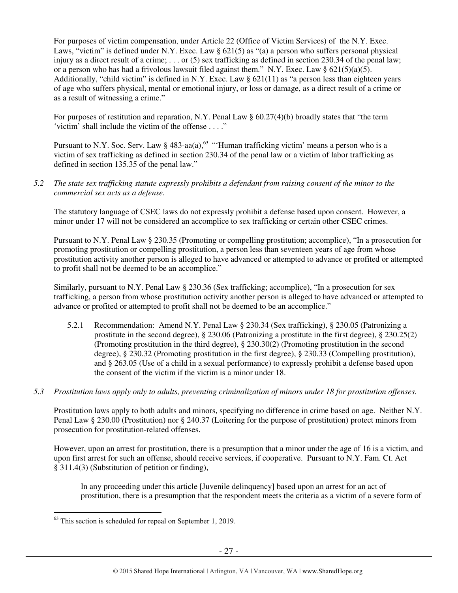For purposes of victim compensation, under Article 22 (Office of Victim Services) of the N.Y. Exec. Laws, "victim" is defined under N.Y. Exec. Law § 621(5) as "(a) a person who suffers personal physical injury as a direct result of a crime; . . . or (5) sex trafficking as defined in section 230.34 of the penal law; or a person who has had a frivolous lawsuit filed against them." N.Y. Exec. Law §  $621(5)(a)(5)$ . Additionally, "child victim" is defined in N.Y. Exec. Law  $\S 621(11)$  as "a person less than eighteen years of age who suffers physical, mental or emotional injury, or loss or damage, as a direct result of a crime or as a result of witnessing a crime."

For purposes of restitution and reparation, N.Y. Penal Law  $\S 60.27(4)(b)$  broadly states that "the term" 'victim' shall include the victim of the offense . . . ."

Pursuant to N.Y. Soc. Serv. Law § 483-aa(a),<sup>63</sup> "Human trafficking victim' means a person who is a victim of sex trafficking as defined in section 230.34 of the penal law or a victim of labor trafficking as defined in section 135.35 of the penal law."

*5.2 The state sex trafficking statute expressly prohibits a defendant from raising consent of the minor to the commercial sex acts as a defense.* 

The statutory language of CSEC laws do not expressly prohibit a defense based upon consent. However, a minor under 17 will not be considered an accomplice to sex trafficking or certain other CSEC crimes.

Pursuant to N.Y. Penal Law § 230.35 (Promoting or compelling prostitution; accomplice), "In a prosecution for promoting prostitution or compelling prostitution, a person less than seventeen years of age from whose prostitution activity another person is alleged to have advanced or attempted to advance or profited or attempted to profit shall not be deemed to be an accomplice."

Similarly, pursuant to N.Y. Penal Law § 230.36 (Sex trafficking; accomplice), "In a prosecution for sex trafficking, a person from whose prostitution activity another person is alleged to have advanced or attempted to advance or profited or attempted to profit shall not be deemed to be an accomplice."

- 5.2.1 Recommendation: Amend N.Y. Penal Law § 230.34 (Sex trafficking), § 230.05 (Patronizing a prostitute in the second degree), § 230.06 (Patronizing a prostitute in the first degree), § 230.25(2) (Promoting prostitution in the third degree), § 230.30(2) (Promoting prostitution in the second degree), § 230.32 (Promoting prostitution in the first degree), § 230.33 (Compelling prostitution), and § 263.05 (Use of a child in a sexual performance) to expressly prohibit a defense based upon the consent of the victim if the victim is a minor under 18.
- *5.3 Prostitution laws apply only to adults, preventing criminalization of minors under 18 for prostitution offenses.*

Prostitution laws apply to both adults and minors, specifying no difference in crime based on age. Neither N.Y. Penal Law § 230.00 (Prostitution) nor § 240.37 (Loitering for the purpose of prostitution) protect minors from prosecution for prostitution-related offenses.

However, upon an arrest for prostitution, there is a presumption that a minor under the age of 16 is a victim, and upon first arrest for such an offense, should receive services, if cooperative. Pursuant to N.Y. Fam. Ct. Act § 311.4(3) (Substitution of petition or finding),

In any proceeding under this article [Juvenile delinquency] based upon an arrest for an act of prostitution, there is a presumption that the respondent meets the criteria as a victim of a severe form of

 $63$  This section is scheduled for repeal on September 1, 2019.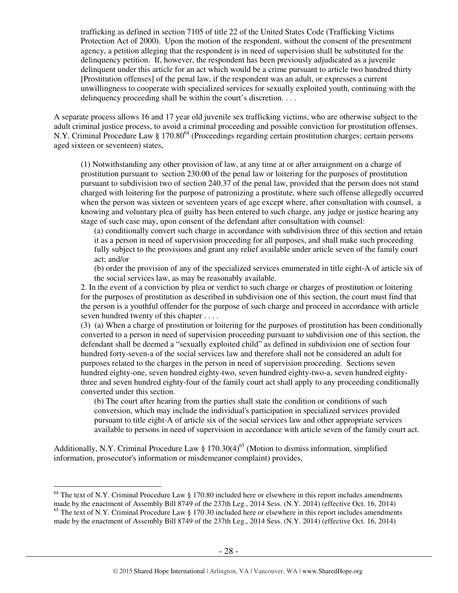trafficking as defined in section 7105 of title 22 of the United States Code (Trafficking Victims Protection Act of 2000). Upon the motion of the respondent, without the consent of the presentment agency, a petition alleging that the respondent is in need of supervision shall be substituted for the delinquency petition. If, however, the respondent has been previously adjudicated as a juvenile delinquent under this article for an act which would be a crime pursuant to article two hundred thirty [Prostitution offenses] of the penal law, if the respondent was an adult, or expresses a current unwillingness to cooperate with specialized services for sexually exploited youth, continuing with the delinquency proceeding shall be within the court's discretion....

A separate process allows 16 and 17 year old juvenile sex trafficking victims, who are otherwise subject to the adult criminal justice process, to avoid a criminal proceeding and possible conviction for prostitution offenses. N.Y. Criminal Procedure Law § 170.80<sup>64</sup> (Proceedings regarding certain prostitution charges; certain persons aged sixteen or seventeen) states,

(1) Notwithstanding any other provision of law, at any time at or after arraignment on a charge of prostitution pursuant to section 230.00 of the penal law or loitering for the purposes of prostitution pursuant to subdivision two of section 240.37 of the penal law, provided that the person does not stand charged with loitering for the purpose of patronizing a prostitute, where such offense allegedly occurred when the person was sixteen or seventeen years of age except where, after consultation with counsel, a knowing and voluntary plea of guilty has been entered to such charge, any judge or justice hearing any stage of such case may, upon consent of the defendant after consultation with counsel:

(a) conditionally convert such charge in accordance with subdivision three of this section and retain it as a person in need of supervision proceeding for all purposes, and shall make such proceeding fully subject to the provisions and grant any relief available under article seven of the family court act; and/or

(b) order the provision of any of the specialized services enumerated in title eight-A of article six of the social services law, as may be reasonably available.

2. In the event of a conviction by plea or verdict to such charge or charges of prostitution or loitering for the purposes of prostitution as described in subdivision one of this section, the court must find that the person is a youthful offender for the purpose of such charge and proceed in accordance with article seven hundred twenty of this chapter . . . .

(3) (a) When a charge of prostitution or loitering for the purposes of prostitution has been conditionally converted to a person in need of supervision proceeding pursuant to subdivision one of this section, the defendant shall be deemed a "sexually exploited child" as defined in subdivision one of section four hundred forty-seven-a of the social services law and therefore shall not be considered an adult for purposes related to the charges in the person in need of supervision proceeding. Sections seven hundred eighty-one, seven hundred eighty-two, seven hundred eighty-two-a, seven hundred eightythree and seven hundred eighty-four of the family court act shall apply to any proceeding conditionally converted under this section.

(b) The court after hearing from the parties shall state the condition or conditions of such conversion, which may include the individual's participation in specialized services provided pursuant to title eight-A of article six of the social services law and other appropriate services available to persons in need of supervision in accordance with article seven of the family court act.

Additionally, N.Y. Criminal Procedure Law § 170.30(4)<sup>65</sup> (Motion to dismiss information, simplified information, prosecutor's information or misdemeanor complaint) provides,

 $64$  The text of N.Y. Criminal Procedure Law § 170.80 included here or elsewhere in this report includes amendments made by the enactment of Assembly Bill 8749 of the 237th Leg., 2014 Sess. (N.Y. 2014) (effective Oct. 16, 2014)  $65$  The text of N.Y. Criminal Procedure Law § 170.30 included here or elsewhere in this report includes amendments

made by the enactment of Assembly Bill 8749 of the 237th Leg., 2014 Sess. (N.Y. 2014) (effective Oct. 16, 2014)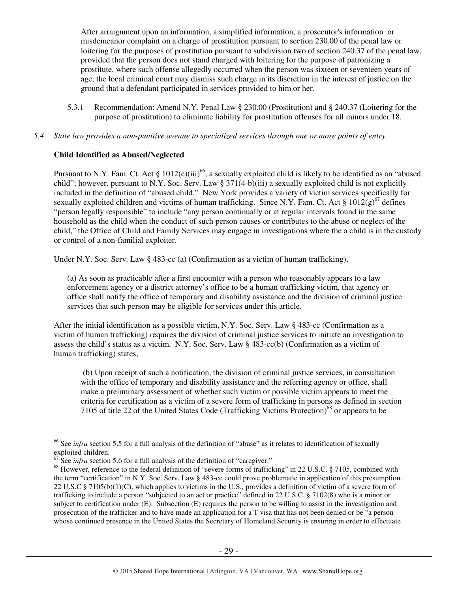After arraignment upon an information, a simplified information, a prosecutor's information or misdemeanor complaint on a charge of prostitution pursuant to section 230.00 of the penal law or loitering for the purposes of prostitution pursuant to subdivision two of section 240.37 of the penal law, provided that the person does not stand charged with loitering for the purpose of patronizing a prostitute, where such offense allegedly occurred when the person was sixteen or seventeen years of age, the local criminal court may dismiss such charge in its discretion in the interest of justice on the ground that a defendant participated in services provided to him or her.

5.3.1 Recommendation: Amend N.Y. Penal Law § 230.00 (Prostitution) and § 240.37 (Loitering for the purpose of prostitution) to eliminate liability for prostitution offenses for all minors under 18.

*5.4 State law provides a non-punitive avenue to specialized services through one or more points of entry.* 

## **Child Identified as Abused/Neglected**

Pursuant to N.Y. Fam. Ct. Act § 1012(e)(iii)<sup>66</sup>, a sexually exploited child is likely to be identified as an "abused child"; however, pursuant to N.Y. Soc. Serv. Law § 371(4-b)(iii) a sexually exploited child is not explicitly included in the definition of "abused child." New York provides a variety of victim services specifically for sexually exploited children and victims of human trafficking. Since N.Y. Fam. Ct. Act §  $1012(g)^{67}$  defines "person legally responsible" to include "any person continually or at regular intervals found in the same household as the child when the conduct of such person causes or contributes to the abuse or neglect of the child," the Office of Child and Family Services may engage in investigations where the a child is in the custody or control of a non-familial exploiter.

Under N.Y. Soc. Serv. Law § 483-cc (a) (Confirmation as a victim of human trafficking),

(a) As soon as practicable after a first encounter with a person who reasonably appears to a law enforcement agency or a district attorney's office to be a human trafficking victim, that agency or office shall notify the office of temporary and disability assistance and the division of criminal justice services that such person may be eligible for services under this article.

After the initial identification as a possible victim, N.Y. Soc. Serv. Law § 483-cc (Confirmation as a victim of human trafficking) requires the division of criminal justice services to initiate an investigation to assess the child's status as a victim. N.Y. Soc. Serv. Law § 483-cc(b) (Confirmation as a victim of human trafficking) states,

 (b) Upon receipt of such a notification, the division of criminal justice services, in consultation with the office of temporary and disability assistance and the referring agency or office, shall make a preliminary assessment of whether such victim or possible victim appears to meet the criteria for certification as a victim of a severe form of trafficking in persons as defined in section 7105 of title 22 of the United States Code (Trafficking Victims Protection)<sup>68</sup> or appears to be

 $\overline{a}$ <sup>66</sup> See *infra* section 5.5 for a full analysis of the definition of "abuse" as it relates to identification of sexually exploited children.

 $67$  See *infra* section 5.6 for a full analysis of the definition of "caregiver."

<sup>&</sup>lt;sup>68</sup> However, reference to the federal definition of "severe forms of trafficking" in 22 U.S.C. § 7105, combined with the term "certification" in N.Y. Soc. Serv. Law § 483-cc could prove problematic in application of this presumption. 22 U.S.C § 7105(b)(1)(C), which applies to victims in the U.S., provides a definition of victim of a severe form of trafficking to include a person "subjected to an act or practice" defined in 22 U.S.C. § 7102(8) who is a minor or subject to certification under (E). Subsection (E) requires the person to be willing to assist in the investigation and prosecution of the trafficker and to have made an application for a T visa that has not been denied or be "a person whose continued presence in the United States the Secretary of Homeland Security is ensuring in order to effectuate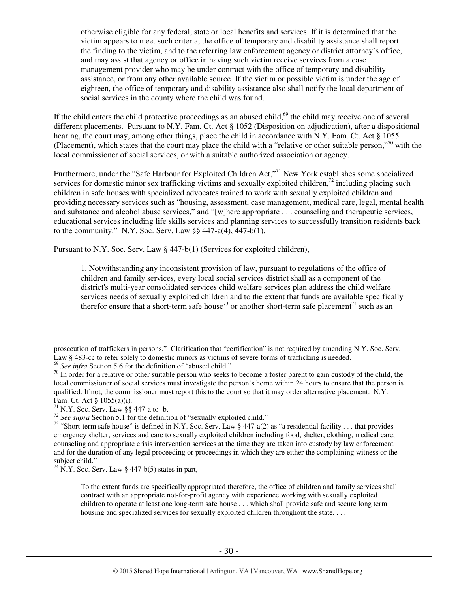otherwise eligible for any federal, state or local benefits and services. If it is determined that the victim appears to meet such criteria, the office of temporary and disability assistance shall report the finding to the victim, and to the referring law enforcement agency or district attorney's office, and may assist that agency or office in having such victim receive services from a case management provider who may be under contract with the office of temporary and disability assistance, or from any other available source. If the victim or possible victim is under the age of eighteen, the office of temporary and disability assistance also shall notify the local department of social services in the county where the child was found.

If the child enters the child protective proceedings as an abused child,<sup>69</sup> the child may receive one of several different placements. Pursuant to N.Y. Fam. Ct. Act § 1052 (Disposition on adjudication), after a dispositional hearing, the court may, among other things, place the child in accordance with N.Y. Fam. Ct. Act § 1055 (Placement), which states that the court may place the child with a "relative or other suitable person,"<sup>70</sup> with the local commissioner of social services, or with a suitable authorized association or agency.

Furthermore, under the "Safe Harbour for Exploited Children Act,"<sup>71</sup> New York establishes some specialized services for domestic minor sex trafficking victims and sexually exploited children, $^{72}$  including placing such children in safe houses with specialized advocates trained to work with sexually exploited children and providing necessary services such as "housing, assessment, case management, medical care, legal, mental health and substance and alcohol abuse services," and "[w]here appropriate . . . counseling and therapeutic services, educational services including life skills services and planning services to successfully transition residents back to the community." N.Y. Soc. Serv. Law §§ 447-a(4), 447-b(1).

Pursuant to N.Y. Soc. Serv. Law § 447-b(1) (Services for exploited children),

1. Notwithstanding any inconsistent provision of law, pursuant to regulations of the office of children and family services, every local social services district shall as a component of the district's multi-year consolidated services child welfare services plan address the child welfare services needs of sexually exploited children and to the extent that funds are available specifically therefor ensure that a short-term safe house<sup>73</sup> or another short-term safe placement<sup>74</sup> such as an

prosecution of traffickers in persons." Clarification that "certification" is not required by amending N.Y. Soc. Serv. Law § 483-cc to refer solely to domestic minors as victims of severe forms of trafficking is needed.

<sup>69</sup> *See infra* Section 5.6 for the definition of "abused child."

 $70$  In order for a relative or other suitable person who seeks to become a foster parent to gain custody of the child, the local commissioner of social services must investigate the person's home within 24 hours to ensure that the person is qualified. If not, the commissioner must report this to the court so that it may order alternative placement. N.Y. Fam. Ct. Act § 1055(a)(i).

 $71$  N.Y. Soc. Serv. Law §§ 447-a to -b.

<sup>&</sup>lt;sup>72</sup> See supra Section 5.1 for the definition of "sexually exploited child."

<sup>&</sup>lt;sup>73</sup> "Short-term safe house" is defined in N.Y. Soc. Serv. Law § 447-a(2) as "a residential facility . . . that provides emergency shelter, services and care to sexually exploited children including food, shelter, clothing, medical care, counseling and appropriate crisis intervention services at the time they are taken into custody by law enforcement and for the duration of any legal proceeding or proceedings in which they are either the complaining witness or the subject child."

 $74$  N.Y. Soc. Serv. Law § 447-b(5) states in part,

To the extent funds are specifically appropriated therefore, the office of children and family services shall contract with an appropriate not-for-profit agency with experience working with sexually exploited children to operate at least one long-term safe house . . . which shall provide safe and secure long term housing and specialized services for sexually exploited children throughout the state. . . .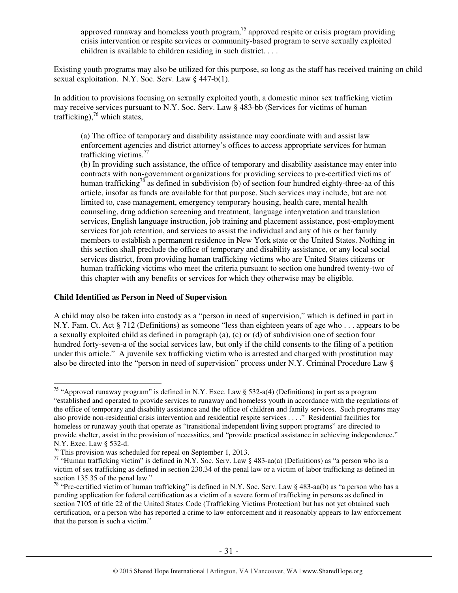approved runaway and homeless youth program,  $^{75}$  approved respite or crisis program providing crisis intervention or respite services or community-based program to serve sexually exploited children is available to children residing in such district. . . .

Existing youth programs may also be utilized for this purpose, so long as the staff has received training on child sexual exploitation. N.Y. Soc. Serv. Law § 447-b(1).

In addition to provisions focusing on sexually exploited youth, a domestic minor sex trafficking victim may receive services pursuant to N.Y. Soc. Serv. Law § 483-bb (Services for victims of human trafficking), $^{76}$  which states,

(a) The office of temporary and disability assistance may coordinate with and assist law enforcement agencies and district attorney's offices to access appropriate services for human trafficking victims.<sup>77</sup>

(b) In providing such assistance, the office of temporary and disability assistance may enter into contracts with non-government organizations for providing services to pre-certified victims of human trafficking<sup>78</sup> as defined in subdivision (b) of section four hundred eighty-three-aa of this article, insofar as funds are available for that purpose. Such services may include, but are not limited to, case management, emergency temporary housing, health care, mental health counseling, drug addiction screening and treatment, language interpretation and translation services, English language instruction, job training and placement assistance, post-employment services for job retention, and services to assist the individual and any of his or her family members to establish a permanent residence in New York state or the United States. Nothing in this section shall preclude the office of temporary and disability assistance, or any local social services district, from providing human trafficking victims who are United States citizens or human trafficking victims who meet the criteria pursuant to section one hundred twenty-two of this chapter with any benefits or services for which they otherwise may be eligible.

## **Child Identified as Person in Need of Supervision**

 $\overline{a}$ 

A child may also be taken into custody as a "person in need of supervision," which is defined in part in N.Y. Fam. Ct. Act § 712 (Definitions) as someone "less than eighteen years of age who . . . appears to be a sexually exploited child as defined in paragraph (a), (c) or (d) of subdivision one of section four hundred forty-seven-a of the social services law, but only if the child consents to the filing of a petition under this article." A juvenile sex trafficking victim who is arrested and charged with prostitution may also be directed into the "person in need of supervision" process under N.Y. Criminal Procedure Law §

<sup>&</sup>lt;sup>75</sup> "Approved runaway program" is defined in N.Y. Exec. Law § 532-a(4) (Definitions) in part as a program "established and operated to provide services to runaway and homeless youth in accordance with the regulations of the office of temporary and disability assistance and the office of children and family services. Such programs may also provide non-residential crisis intervention and residential respite services . . . ." Residential facilities for homeless or runaway youth that operate as "transitional independent living support programs" are directed to provide shelter, assist in the provision of necessities, and "provide practical assistance in achieving independence." N.Y. Exec. Law § 532-d.

<sup>&</sup>lt;sup>76</sup> This provision was scheduled for repeal on September 1, 2013.

<sup>77</sup> "Human trafficking victim" is defined in N.Y. Soc. Serv. Law § 483-aa(a) (Definitions) as "a person who is a victim of sex trafficking as defined in section 230.34 of the penal law or a victim of labor trafficking as defined in section 135.35 of the penal law."

<sup>&</sup>lt;sup>78</sup> "Pre-certified victim of human trafficking" is defined in N.Y. Soc. Serv. Law § 483-aa(b) as "a person who has a pending application for federal certification as a victim of a severe form of trafficking in persons as defined in section 7105 of title 22 of the United States Code (Trafficking Victims Protection) but has not yet obtained such certification, or a person who has reported a crime to law enforcement and it reasonably appears to law enforcement that the person is such a victim."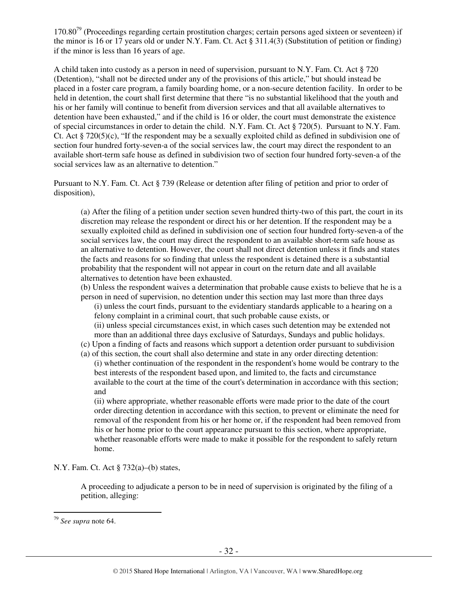$170.80^{79}$  (Proceedings regarding certain prostitution charges; certain persons aged sixteen or seventeen) if the minor is 16 or 17 years old or under N.Y. Fam. Ct. Act § 311.4(3) (Substitution of petition or finding) if the minor is less than 16 years of age.

A child taken into custody as a person in need of supervision, pursuant to N.Y. Fam. Ct. Act § 720 (Detention), "shall not be directed under any of the provisions of this article," but should instead be placed in a foster care program, a family boarding home, or a non-secure detention facility. In order to be held in detention, the court shall first determine that there "is no substantial likelihood that the youth and his or her family will continue to benefit from diversion services and that all available alternatives to detention have been exhausted," and if the child is 16 or older, the court must demonstrate the existence of special circumstances in order to detain the child. N.Y. Fam. Ct. Act § 720(5). Pursuant to N.Y. Fam. Ct. Act  $\S 720(5)(c)$ , "If the respondent may be a sexually exploited child as defined in subdivision one of section four hundred forty-seven-a of the social services law, the court may direct the respondent to an available short-term safe house as defined in subdivision two of section four hundred forty-seven-a of the social services law as an alternative to detention."

Pursuant to N.Y. Fam. Ct. Act § 739 (Release or detention after filing of petition and prior to order of disposition),

(a) After the filing of a petition under section seven hundred thirty-two of this part, the court in its discretion may release the respondent or direct his or her detention. If the respondent may be a sexually exploited child as defined in subdivision one of section four hundred forty-seven-a of the social services law, the court may direct the respondent to an available short-term safe house as an alternative to detention. However, the court shall not direct detention unless it finds and states the facts and reasons for so finding that unless the respondent is detained there is a substantial probability that the respondent will not appear in court on the return date and all available alternatives to detention have been exhausted.

(b) Unless the respondent waives a determination that probable cause exists to believe that he is a person in need of supervision, no detention under this section may last more than three days (i) unless the court finds, pursuant to the evidentiary standards applicable to a hearing on a

felony complaint in a criminal court, that such probable cause exists, or

(ii) unless special circumstances exist, in which cases such detention may be extended not more than an additional three days exclusive of Saturdays, Sundays and public holidays.

- (c) Upon a finding of facts and reasons which support a detention order pursuant to subdivision
- (a) of this section, the court shall also determine and state in any order directing detention: (i) whether continuation of the respondent in the respondent's home would be contrary to the best interests of the respondent based upon, and limited to, the facts and circumstance available to the court at the time of the court's determination in accordance with this section; and

(ii) where appropriate, whether reasonable efforts were made prior to the date of the court order directing detention in accordance with this section, to prevent or eliminate the need for removal of the respondent from his or her home or, if the respondent had been removed from his or her home prior to the court appearance pursuant to this section, where appropriate, whether reasonable efforts were made to make it possible for the respondent to safely return home.

N.Y. Fam. Ct. Act § 732(a)–(b) states,

A proceeding to adjudicate a person to be in need of supervision is originated by the filing of a petition, alleging:

<sup>79</sup> *See supra* note 64.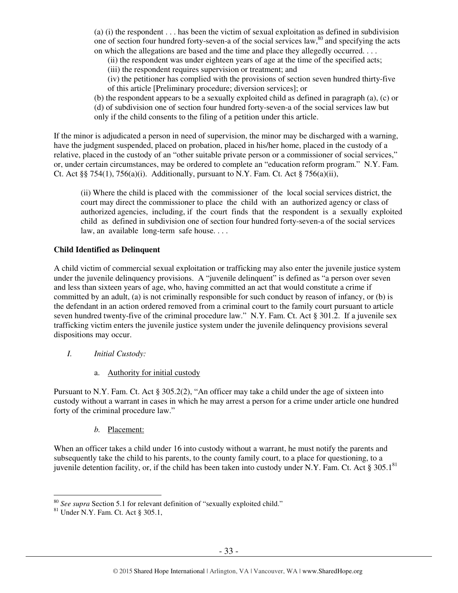(a) (i) the respondent . . . has been the victim of sexual exploitation as defined in subdivision one of section four hundred forty-seven-a of the social services law,<sup>80</sup> and specifying the acts on which the allegations are based and the time and place they allegedly occurred. . . .

(ii) the respondent was under eighteen years of age at the time of the specified acts;

(iii) the respondent requires supervision or treatment; and

(iv) the petitioner has complied with the provisions of section seven hundred thirty-five of this article [Preliminary procedure; diversion services]; or

(b) the respondent appears to be a sexually exploited child as defined in paragraph (a), (c) or

(d) of subdivision one of section four hundred forty-seven-a of the social services law but only if the child consents to the filing of a petition under this article.

If the minor is adjudicated a person in need of supervision, the minor may be discharged with a warning, have the judgment suspended, placed on probation, placed in his/her home, placed in the custody of a relative, placed in the custody of an "other suitable private person or a commissioner of social services," or, under certain circumstances, may be ordered to complete an "education reform program." N.Y. Fam. Ct. Act §§ 754(1), 756(a)(i). Additionally, pursuant to N.Y. Fam. Ct. Act § 756(a)(ii),

(ii) Where the child is placed with the commissioner of the local social services district, the court may direct the commissioner to place the child with an authorized agency or class of authorized agencies, including, if the court finds that the respondent is a sexually exploited child as defined in subdivision one of section four hundred forty-seven-a of the social services law, an available long-term safe house. . . .

## **Child Identified as Delinquent**

A child victim of commercial sexual exploitation or trafficking may also enter the juvenile justice system under the juvenile delinquency provisions. A "juvenile delinquent" is defined as "a person over seven and less than sixteen years of age, who, having committed an act that would constitute a crime if committed by an adult, (a) is not criminally responsible for such conduct by reason of infancy, or (b) is the defendant in an action ordered removed from a criminal court to the family court pursuant to article seven hundred twenty-five of the criminal procedure law." N.Y. Fam. Ct. Act § 301.2. If a juvenile sex trafficking victim enters the juvenile justice system under the juvenile delinquency provisions several dispositions may occur.

- *I. Initial Custody:* 
	- a. Authority for initial custody

Pursuant to N.Y. Fam. Ct. Act § 305.2(2), "An officer may take a child under the age of sixteen into custody without a warrant in cases in which he may arrest a person for a crime under article one hundred forty of the criminal procedure law."

*b.* Placement:

When an officer takes a child under 16 into custody without a warrant, he must notify the parents and subsequently take the child to his parents, to the county family court, to a place for questioning, to a juvenile detention facility, or, if the child has been taken into custody under N.Y. Fam. Ct. Act § 305.1<sup>81</sup>

<sup>80</sup> *See supra* Section 5.1 for relevant definition of "sexually exploited child."

<sup>81</sup> Under N.Y. Fam. Ct. Act § 305.1,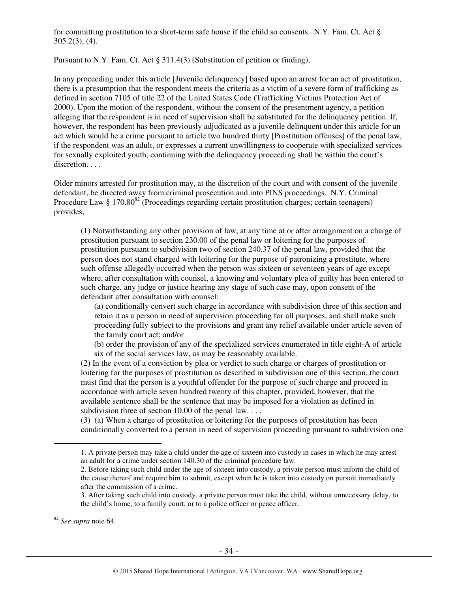for committing prostitution to a short-term safe house if the child so consents. N.Y. Fam. Ct. Act § 305.2(3), (4).

Pursuant to N.Y. Fam. Ct. Act § 311.4(3) (Substitution of petition or finding),

In any proceeding under this article [Juvenile delinquency] based upon an arrest for an act of prostitution, there is a presumption that the respondent meets the criteria as a victim of a severe form of trafficking as defined in section 7105 of title 22 of the United States Code (Trafficking Victims Protection Act of 2000). Upon the motion of the respondent, without the consent of the presentment agency, a petition alleging that the respondent is in need of supervision shall be substituted for the delinquency petition. If, however, the respondent has been previously adjudicated as a juvenile delinquent under this article for an act which would be a crime pursuant to article two hundred thirty [Prostitution offenses] of the penal law, if the respondent was an adult, or expresses a current unwillingness to cooperate with specialized services for sexually exploited youth, continuing with the delinquency proceeding shall be within the court's discretion. . . .

Older minors arrested for prostitution may, at the discretion of the court and with consent of the juvenile defendant, be directed away from criminal prosecution and into PINS proceedings. N.Y. Criminal Procedure Law  $\S 170.80^{82}$  (Proceedings regarding certain prostitution charges; certain teenagers) provides,

(1) Notwithstanding any other provision of law, at any time at or after arraignment on a charge of prostitution pursuant to section 230.00 of the penal law or loitering for the purposes of prostitution pursuant to subdivision two of section 240.37 of the penal law, provided that the person does not stand charged with loitering for the purpose of patronizing a prostitute, where such offense allegedly occurred when the person was sixteen or seventeen years of age except where, after consultation with counsel, a knowing and voluntary plea of guilty has been entered to such charge, any judge or justice hearing any stage of such case may, upon consent of the defendant after consultation with counsel:

(a) conditionally convert such charge in accordance with subdivision three of this section and retain it as a person in need of supervision proceeding for all purposes, and shall make such proceeding fully subject to the provisions and grant any relief available under article seven of the family court act; and/or

(b) order the provision of any of the specialized services enumerated in title eight-A of article six of the social services law, as may be reasonably available.

(2) In the event of a conviction by plea or verdict to such charge or charges of prostitution or loitering for the purposes of prostitution as described in subdivision one of this section, the court must find that the person is a youthful offender for the purpose of such charge and proceed in accordance with article seven hundred twenty of this chapter, provided, however, that the available sentence shall be the sentence that may be imposed for a violation as defined in subdivision three of section 10.00 of the penal law....

(3) (a) When a charge of prostitution or loitering for the purposes of prostitution has been conditionally converted to a person in need of supervision proceeding pursuant to subdivision one

<sup>1.</sup> A private person may take a child under the age of sixteen into custody in cases in which he may arrest an adult for a crime under section 140.30 of the criminal procedure law.

<sup>2.</sup> Before taking such child under the age of sixteen into custody, a private person must inform the child of the cause thereof and require him to submit, except when he is taken into custody on pursuit immediately after the commission of a crime.

<sup>3.</sup> After taking such child into custody, a private person must take the child, without unnecessary delay, to the child's home, to a family court, or to a police officer or peace officer.

<sup>82</sup> *See supra* note 64.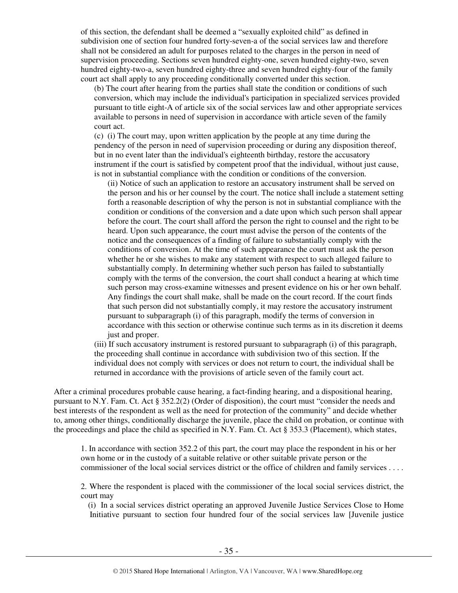of this section, the defendant shall be deemed a "sexually exploited child" as defined in subdivision one of section four hundred forty-seven-a of the social services law and therefore shall not be considered an adult for purposes related to the charges in the person in need of supervision proceeding. Sections seven hundred eighty-one, seven hundred eighty-two, seven hundred eighty-two-a, seven hundred eighty-three and seven hundred eighty-four of the family court act shall apply to any proceeding conditionally converted under this section.

(b) The court after hearing from the parties shall state the condition or conditions of such conversion, which may include the individual's participation in specialized services provided pursuant to title eight-A of article six of the social services law and other appropriate services available to persons in need of supervision in accordance with article seven of the family court act.

(c) (i) The court may, upon written application by the people at any time during the pendency of the person in need of supervision proceeding or during any disposition thereof, but in no event later than the individual's eighteenth birthday, restore the accusatory instrument if the court is satisfied by competent proof that the individual, without just cause, is not in substantial compliance with the condition or conditions of the conversion.

(ii) Notice of such an application to restore an accusatory instrument shall be served on the person and his or her counsel by the court. The notice shall include a statement setting forth a reasonable description of why the person is not in substantial compliance with the condition or conditions of the conversion and a date upon which such person shall appear before the court. The court shall afford the person the right to counsel and the right to be heard. Upon such appearance, the court must advise the person of the contents of the notice and the consequences of a finding of failure to substantially comply with the conditions of conversion. At the time of such appearance the court must ask the person whether he or she wishes to make any statement with respect to such alleged failure to substantially comply. In determining whether such person has failed to substantially comply with the terms of the conversion, the court shall conduct a hearing at which time such person may cross-examine witnesses and present evidence on his or her own behalf. Any findings the court shall make, shall be made on the court record. If the court finds that such person did not substantially comply, it may restore the accusatory instrument pursuant to subparagraph (i) of this paragraph, modify the terms of conversion in accordance with this section or otherwise continue such terms as in its discretion it deems just and proper.

(iii) If such accusatory instrument is restored pursuant to subparagraph (i) of this paragraph, the proceeding shall continue in accordance with subdivision two of this section. If the individual does not comply with services or does not return to court, the individual shall be returned in accordance with the provisions of article seven of the family court act.

After a criminal procedures probable cause hearing, a fact-finding hearing, and a dispositional hearing, pursuant to N.Y. Fam. Ct. Act § 352.2(2) (Order of disposition), the court must "consider the needs and best interests of the respondent as well as the need for protection of the community" and decide whether to, among other things, conditionally discharge the juvenile, place the child on probation, or continue with the proceedings and place the child as specified in N.Y. Fam. Ct. Act § 353.3 (Placement), which states,

1. In accordance with section 352.2 of this part, the court may place the respondent in his or her own home or in the custody of a suitable relative or other suitable private person or the commissioner of the local social services district or the office of children and family services . . . .

2. Where the respondent is placed with the commissioner of the local social services district, the court may

 (i) In a social services district operating an approved Juvenile Justice Services Close to Home Initiative pursuant to section four hundred four of the social services law [Juvenile justice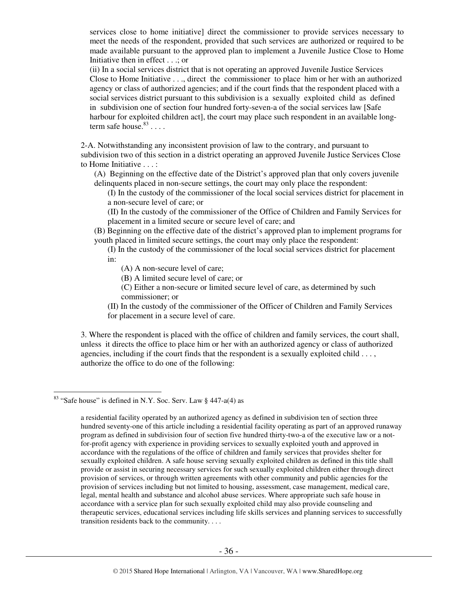services close to home initiative] direct the commissioner to provide services necessary to meet the needs of the respondent, provided that such services are authorized or required to be made available pursuant to the approved plan to implement a Juvenile Justice Close to Home Initiative then in effect . . .; or

(ii) In a social services district that is not operating an approved Juvenile Justice Services Close to Home Initiative . . ., direct the commissioner to place him or her with an authorized agency or class of authorized agencies; and if the court finds that the respondent placed with a social services district pursuant to this subdivision is a sexually exploited child as defined in subdivision one of section four hundred forty-seven-a of the social services law [Safe harbour for exploited children act], the court may place such respondent in an available longterm safe house. $83 \ldots$ 

2-A. Notwithstanding any inconsistent provision of law to the contrary, and pursuant to subdivision two of this section in a district operating an approved Juvenile Justice Services Close to Home Initiative . . . :

(A) Beginning on the effective date of the District's approved plan that only covers juvenile delinquents placed in non-secure settings, the court may only place the respondent:

(I) In the custody of the commissioner of the local social services district for placement in a non-secure level of care; or

(II) In the custody of the commissioner of the Office of Children and Family Services for placement in a limited secure or secure level of care; and

(B) Beginning on the effective date of the district's approved plan to implement programs for youth placed in limited secure settings, the court may only place the respondent:

(I) In the custody of the commissioner of the local social services district for placement in:

(A) A non-secure level of care;

(B) A limited secure level of care; or

(C) Either a non-secure or limited secure level of care, as determined by such commissioner; or

(II) In the custody of the commissioner of the Officer of Children and Family Services for placement in a secure level of care.

3. Where the respondent is placed with the office of children and family services, the court shall, unless it directs the office to place him or her with an authorized agency or class of authorized agencies, including if the court finds that the respondent is a sexually exploited child . . . , authorize the office to do one of the following:

 $83$  "Safe house" is defined in N.Y. Soc. Serv. Law § 447-a(4) as

a residential facility operated by an authorized agency as defined in subdivision ten of section three hundred seventy-one of this article including a residential facility operating as part of an approved runaway program as defined in subdivision four of section five hundred thirty-two-a of the executive law or a notfor-profit agency with experience in providing services to sexually exploited youth and approved in accordance with the regulations of the office of children and family services that provides shelter for sexually exploited children. A safe house serving sexually exploited children as defined in this title shall provide or assist in securing necessary services for such sexually exploited children either through direct provision of services, or through written agreements with other community and public agencies for the provision of services including but not limited to housing, assessment, case management, medical care, legal, mental health and substance and alcohol abuse services. Where appropriate such safe house in accordance with a service plan for such sexually exploited child may also provide counseling and therapeutic services, educational services including life skills services and planning services to successfully transition residents back to the community. . . .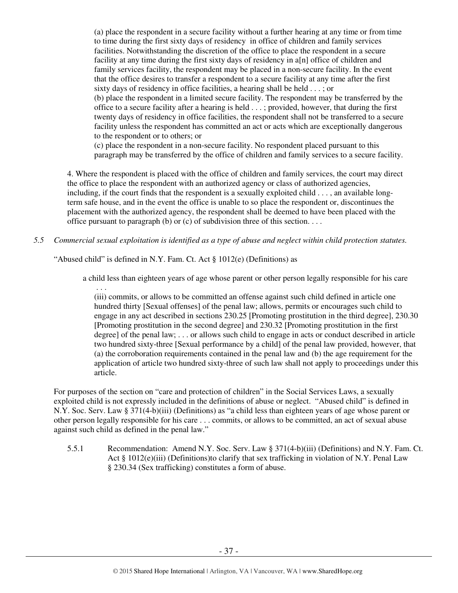(a) place the respondent in a secure facility without a further hearing at any time or from time to time during the first sixty days of residency in office of children and family services facilities. Notwithstanding the discretion of the office to place the respondent in a secure facility at any time during the first sixty days of residency in a[n] office of children and family services facility, the respondent may be placed in a non-secure facility. In the event that the office desires to transfer a respondent to a secure facility at any time after the first sixty days of residency in office facilities, a hearing shall be held . . . ; or (b) place the respondent in a limited secure facility. The respondent may be transferred by the office to a secure facility after a hearing is held . . . ; provided, however, that during the first twenty days of residency in office facilities, the respondent shall not be transferred to a secure facility unless the respondent has committed an act or acts which are exceptionally dangerous to the respondent or to others; or

(c) place the respondent in a non-secure facility. No respondent placed pursuant to this paragraph may be transferred by the office of children and family services to a secure facility.

4. Where the respondent is placed with the office of children and family services, the court may direct the office to place the respondent with an authorized agency or class of authorized agencies, including, if the court finds that the respondent is a sexually exploited child . . . , an available longterm safe house, and in the event the office is unable to so place the respondent or, discontinues the placement with the authorized agency, the respondent shall be deemed to have been placed with the office pursuant to paragraph (b) or (c) of subdivision three of this section.  $\dots$ 

*5.5 Commercial sexual exploitation is identified as a type of abuse and neglect within child protection statutes.* 

"Abused child" is defined in N.Y. Fam. Ct. Act § 1012(e) (Definitions) as

a child less than eighteen years of age whose parent or other person legally responsible for his care

 . . . (iii) commits, or allows to be committed an offense against such child defined in article one hundred thirty [Sexual offenses] of the penal law; allows, permits or encourages such child to engage in any act described in sections 230.25 [Promoting prostitution in the third degree], 230.30 [Promoting prostitution in the second degree] and 230.32 [Promoting prostitution in the first degree] of the penal law; . . . or allows such child to engage in acts or conduct described in article two hundred sixty-three [Sexual performance by a child] of the penal law provided, however, that (a) the corroboration requirements contained in the penal law and (b) the age requirement for the application of article two hundred sixty-three of such law shall not apply to proceedings under this article.

For purposes of the section on "care and protection of children" in the Social Services Laws, a sexually exploited child is not expressly included in the definitions of abuse or neglect. "Abused child" is defined in N.Y. Soc. Serv. Law § 371(4-b)(iii) (Definitions) as "a child less than eighteen years of age whose parent or other person legally responsible for his care . . . commits, or allows to be committed, an act of sexual abuse against such child as defined in the penal law."

5.5.1 Recommendation: Amend N.Y. Soc. Serv. Law § 371(4-b)(iii) (Definitions) and N.Y. Fam. Ct. Act  $\S 1012(e)$ (iii) (Definitions)to clarify that sex trafficking in violation of N.Y. Penal Law § 230.34 (Sex trafficking) constitutes a form of abuse.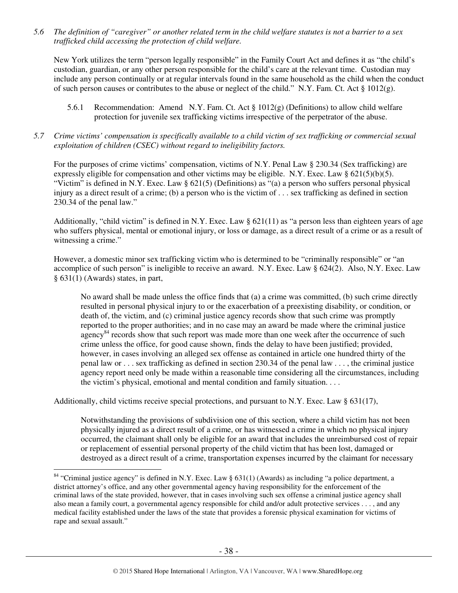*5.6 The definition of "caregiver" or another related term in the child welfare statutes is not a barrier to a sex trafficked child accessing the protection of child welfare.* 

New York utilizes the term "person legally responsible" in the Family Court Act and defines it as "the child's custodian, guardian, or any other person responsible for the child's care at the relevant time. Custodian may include any person continually or at regular intervals found in the same household as the child when the conduct of such person causes or contributes to the abuse or neglect of the child." N.Y. Fam. Ct. Act  $\S 1012(g)$ .

- 5.6.1 Recommendation: Amend N.Y. Fam. Ct. Act § 1012(g) (Definitions) to allow child welfare protection for juvenile sex trafficking victims irrespective of the perpetrator of the abuse.
- *5.7 Crime victims' compensation is specifically available to a child victim of sex trafficking or commercial sexual exploitation of children (CSEC) without regard to ineligibility factors.*

For the purposes of crime victims' compensation, victims of N.Y. Penal Law § 230.34 (Sex trafficking) are expressly eligible for compensation and other victims may be eligible. N.Y. Exec. Law  $\S 621(5)(b)(5)$ . "Victim" is defined in N.Y. Exec. Law  $\S 621(5)$  (Definitions) as "(a) a person who suffers personal physical injury as a direct result of a crime; (b) a person who is the victim of . . . sex trafficking as defined in section 230.34 of the penal law."

Additionally, "child victim" is defined in N.Y. Exec. Law  $\S 621(11)$  as "a person less than eighteen years of age who suffers physical, mental or emotional injury, or loss or damage, as a direct result of a crime or as a result of witnessing a crime."

However, a domestic minor sex trafficking victim who is determined to be "criminally responsible" or "an accomplice of such person" is ineligible to receive an award. N.Y. Exec. Law § 624(2). Also, N.Y. Exec. Law § 631(1) (Awards) states, in part,

No award shall be made unless the office finds that (a) a crime was committed, (b) such crime directly resulted in personal physical injury to or the exacerbation of a preexisting disability, or condition, or death of, the victim, and (c) criminal justice agency records show that such crime was promptly reported to the proper authorities; and in no case may an award be made where the criminal justice  $a$ gency<sup>84</sup> records show that such report was made more than one week after the occurrence of such crime unless the office, for good cause shown, finds the delay to have been justified; provided, however, in cases involving an alleged sex offense as contained in article one hundred thirty of the penal law or . . . sex trafficking as defined in section 230.34 of the penal law . . . , the criminal justice agency report need only be made within a reasonable time considering all the circumstances, including the victim's physical, emotional and mental condition and family situation. . . .

Additionally, child victims receive special protections, and pursuant to N.Y. Exec. Law § 631(17),

 $\overline{a}$ 

Notwithstanding the provisions of subdivision one of this section, where a child victim has not been physically injured as a direct result of a crime, or has witnessed a crime in which no physical injury occurred, the claimant shall only be eligible for an award that includes the unreimbursed cost of repair or replacement of essential personal property of the child victim that has been lost, damaged or destroyed as a direct result of a crime, transportation expenses incurred by the claimant for necessary

 $84$  "Criminal justice agency" is defined in N.Y. Exec. Law § 631(1) (Awards) as including "a police department, a district attorney's office, and any other governmental agency having responsibility for the enforcement of the criminal laws of the state provided, however, that in cases involving such sex offense a criminal justice agency shall also mean a family court, a governmental agency responsible for child and/or adult protective services . . . , and any medical facility established under the laws of the state that provides a forensic physical examination for victims of rape and sexual assault."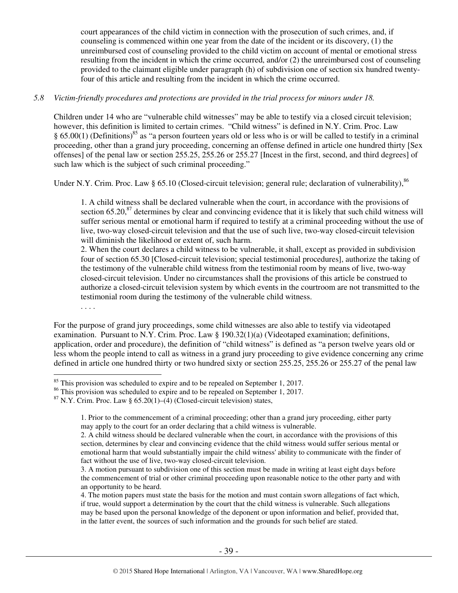court appearances of the child victim in connection with the prosecution of such crimes, and, if counseling is commenced within one year from the date of the incident or its discovery, (1) the unreimbursed cost of counseling provided to the child victim on account of mental or emotional stress resulting from the incident in which the crime occurred, and/or (2) the unreimbursed cost of counseling provided to the claimant eligible under paragraph (h) of subdivision one of section six hundred twentyfour of this article and resulting from the incident in which the crime occurred.

## *5.8 Victim-friendly procedures and protections are provided in the trial process for minors under 18.*

Children under 14 who are "vulnerable child witnesses" may be able to testify via a closed circuit television; however, this definition is limited to certain crimes. "Child witness" is defined in N.Y. Crim. Proc. Law § 65.00(1) (Definitions)<sup>85</sup> as "a person fourteen years old or less who is or will be called to testify in a criminal proceeding, other than a grand jury proceeding, concerning an offense defined in article one hundred thirty [Sex offenses] of the penal law or section 255.25, 255.26 or 255.27 [Incest in the first, second, and third degrees] of such law which is the subject of such criminal proceeding."

Under N.Y. Crim. Proc. Law § 65.10 (Closed-circuit television; general rule; declaration of vulnerability),  $86$ 

1. A child witness shall be declared vulnerable when the court, in accordance with the provisions of section  $65.20$ , $87$  determines by clear and convincing evidence that it is likely that such child witness will suffer serious mental or emotional harm if required to testify at a criminal proceeding without the use of live, two-way closed-circuit television and that the use of such live, two-way closed-circuit television will diminish the likelihood or extent of, such harm.

2. When the court declares a child witness to be vulnerable, it shall, except as provided in subdivision four of section 65.30 [Closed-circuit television; special testimonial procedures], authorize the taking of the testimony of the vulnerable child witness from the testimonial room by means of live, two-way closed-circuit television. Under no circumstances shall the provisions of this article be construed to authorize a closed-circuit television system by which events in the courtroom are not transmitted to the testimonial room during the testimony of the vulnerable child witness.

For the purpose of grand jury proceedings, some child witnesses are also able to testify via videotaped examination. Pursuant to N.Y. Crim. Proc. Law  $\S$  190.32(1)(a) (Videotaped examination; definitions, application, order and procedure), the definition of "child witness" is defined as "a person twelve years old or less whom the people intend to call as witness in a grand jury proceeding to give evidence concerning any crime defined in article one hundred thirty or two hundred sixty or section 255.25, 255.26 or 255.27 of the penal law

. . . .

 $\overline{a}$ <sup>85</sup> This provision was scheduled to expire and to be repealed on September 1, 2017.

<sup>&</sup>lt;sup>86</sup> This provision was scheduled to expire and to be repealed on September 1, 2017.

 $87$  N.Y. Crim. Proc. Law § 65.20(1)–(4) (Closed-circuit television) states,

<sup>1.</sup> Prior to the commencement of a criminal proceeding; other than a grand jury proceeding, either party may apply to the court for an order declaring that a child witness is vulnerable.

<sup>2.</sup> A child witness should be declared vulnerable when the court, in accordance with the provisions of this section, determines by clear and convincing evidence that the child witness would suffer serious mental or emotional harm that would substantially impair the child witness' ability to communicate with the finder of fact without the use of live, two-way closed-circuit television.

<sup>3.</sup> A motion pursuant to subdivision one of this section must be made in writing at least eight days before the commencement of trial or other criminal proceeding upon reasonable notice to the other party and with an opportunity to be heard.

<sup>4.</sup> The motion papers must state the basis for the motion and must contain sworn allegations of fact which, if true, would support a determination by the court that the child witness is vulnerable. Such allegations may be based upon the personal knowledge of the deponent or upon information and belief, provided that, in the latter event, the sources of such information and the grounds for such belief are stated.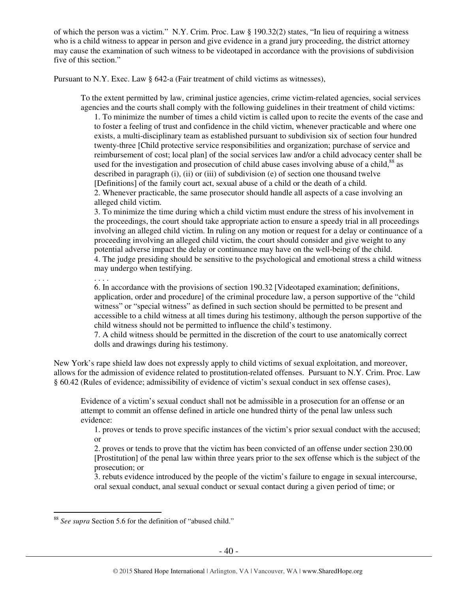of which the person was a victim." N.Y. Crim. Proc. Law § 190.32(2) states, "In lieu of requiring a witness who is a child witness to appear in person and give evidence in a grand jury proceeding, the district attorney may cause the examination of such witness to be videotaped in accordance with the provisions of subdivision five of this section."

Pursuant to N.Y. Exec. Law § 642-a (Fair treatment of child victims as witnesses),

To the extent permitted by law, criminal justice agencies, crime victim-related agencies, social services agencies and the courts shall comply with the following guidelines in their treatment of child victims:

1. To minimize the number of times a child victim is called upon to recite the events of the case and to foster a feeling of trust and confidence in the child victim, whenever practicable and where one exists, a multi-disciplinary team as established pursuant to subdivision six of section four hundred twenty-three [Child protective service responsibilities and organization; purchase of service and reimbursement of cost; local plan] of the social services law and/or a child advocacy center shall be used for the investigation and prosecution of child abuse cases involving abuse of a child,<sup>88</sup> as described in paragraph (i), (ii) or (iii) of subdivision (e) of section one thousand twelve [Definitions] of the family court act, sexual abuse of a child or the death of a child. 2. Whenever practicable, the same prosecutor should handle all aspects of a case involving an alleged child victim.

3. To minimize the time during which a child victim must endure the stress of his involvement in the proceedings, the court should take appropriate action to ensure a speedy trial in all proceedings involving an alleged child victim. In ruling on any motion or request for a delay or continuance of a proceeding involving an alleged child victim, the court should consider and give weight to any potential adverse impact the delay or continuance may have on the well-being of the child. 4. The judge presiding should be sensitive to the psychological and emotional stress a child witness may undergo when testifying.

. . . .

6. In accordance with the provisions of section 190.32 [Videotaped examination; definitions, application, order and procedure] of the criminal procedure law, a person supportive of the "child witness" or "special witness" as defined in such section should be permitted to be present and accessible to a child witness at all times during his testimony, although the person supportive of the child witness should not be permitted to influence the child's testimony.

7. A child witness should be permitted in the discretion of the court to use anatomically correct dolls and drawings during his testimony.

New York's rape shield law does not expressly apply to child victims of sexual exploitation, and moreover, allows for the admission of evidence related to prostitution-related offenses. Pursuant to N.Y. Crim. Proc. Law § 60.42 (Rules of evidence; admissibility of evidence of victim's sexual conduct in sex offense cases),

Evidence of a victim's sexual conduct shall not be admissible in a prosecution for an offense or an attempt to commit an offense defined in article one hundred thirty of the penal law unless such evidence:

1. proves or tends to prove specific instances of the victim's prior sexual conduct with the accused; or

2. proves or tends to prove that the victim has been convicted of an offense under section 230.00 [Prostitution] of the penal law within three years prior to the sex offense which is the subject of the prosecution; or

3. rebuts evidence introduced by the people of the victim's failure to engage in sexual intercourse, oral sexual conduct, anal sexual conduct or sexual contact during a given period of time; or

 $\overline{a}$ <sup>88</sup> *See supra* Section 5.6 for the definition of "abused child."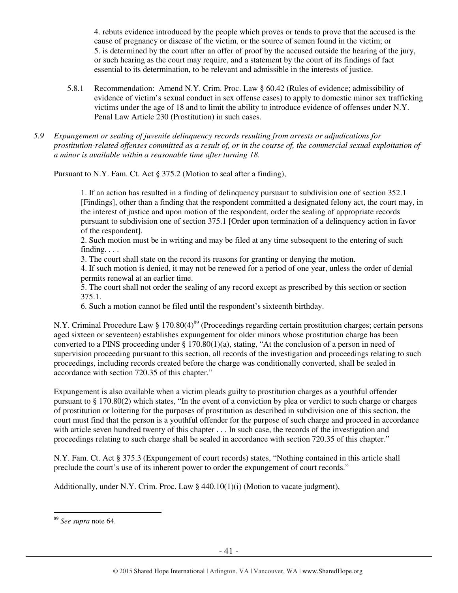4. rebuts evidence introduced by the people which proves or tends to prove that the accused is the cause of pregnancy or disease of the victim, or the source of semen found in the victim; or 5. is determined by the court after an offer of proof by the accused outside the hearing of the jury, or such hearing as the court may require, and a statement by the court of its findings of fact essential to its determination, to be relevant and admissible in the interests of justice.

- 5.8.1 Recommendation: Amend N.Y. Crim. Proc. Law § 60.42 (Rules of evidence; admissibility of evidence of victim's sexual conduct in sex offense cases) to apply to domestic minor sex trafficking victims under the age of 18 and to limit the ability to introduce evidence of offenses under N.Y. Penal Law Article 230 (Prostitution) in such cases.
- *5.9 Expungement or sealing of juvenile delinquency records resulting from arrests or adjudications for prostitution-related offenses committed as a result of, or in the course of, the commercial sexual exploitation of a minor is available within a reasonable time after turning 18.*

Pursuant to N.Y. Fam. Ct. Act § 375.2 (Motion to seal after a finding),

1. If an action has resulted in a finding of delinquency pursuant to subdivision one of section 352.1 [Findings], other than a finding that the respondent committed a designated felony act, the court may, in the interest of justice and upon motion of the respondent, order the sealing of appropriate records pursuant to subdivision one of section 375.1 [Order upon termination of a delinquency action in favor of the respondent].

2. Such motion must be in writing and may be filed at any time subsequent to the entering of such finding. . . .

3. The court shall state on the record its reasons for granting or denying the motion.

4. If such motion is denied, it may not be renewed for a period of one year, unless the order of denial permits renewal at an earlier time.

5. The court shall not order the sealing of any record except as prescribed by this section or section 375.1.

6. Such a motion cannot be filed until the respondent's sixteenth birthday.

N.Y. Criminal Procedure Law § 170.80(4)<sup>89</sup> (Proceedings regarding certain prostitution charges; certain persons aged sixteen or seventeen) establishes expungement for older minors whose prostitution charge has been converted to a PINS proceeding under § 170.80(1)(a), stating, "At the conclusion of a person in need of supervision proceeding pursuant to this section, all records of the investigation and proceedings relating to such proceedings, including records created before the charge was conditionally converted, shall be sealed in accordance with section 720.35 of this chapter."

Expungement is also available when a victim pleads guilty to prostitution charges as a youthful offender pursuant to § 170.80(2) which states, "In the event of a conviction by plea or verdict to such charge or charges of prostitution or loitering for the purposes of prostitution as described in subdivision one of this section, the court must find that the person is a youthful offender for the purpose of such charge and proceed in accordance with article seven hundred twenty of this chapter . . . In such case, the records of the investigation and proceedings relating to such charge shall be sealed in accordance with section 720.35 of this chapter."

N.Y. Fam. Ct. Act § 375.3 (Expungement of court records) states, "Nothing contained in this article shall preclude the court's use of its inherent power to order the expungement of court records."

Additionally, under N.Y. Crim. Proc. Law  $\S$  440.10(1)(i) (Motion to vacate judgment),

 $\overline{a}$ <sup>89</sup> *See supra* note 64.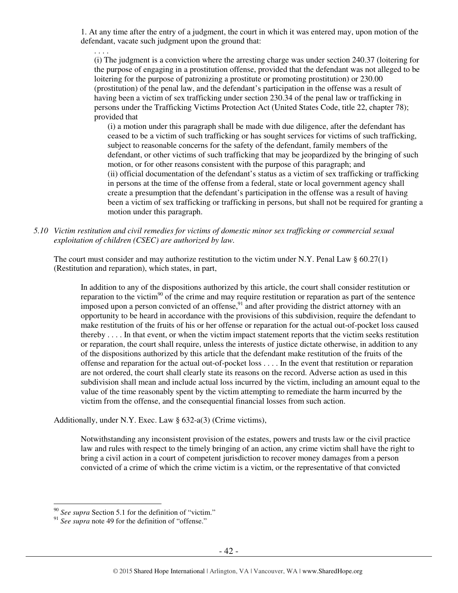1. At any time after the entry of a judgment, the court in which it was entered may, upon motion of the defendant, vacate such judgment upon the ground that:

(i) The judgment is a conviction where the arresting charge was under section 240.37 (loitering for the purpose of engaging in a prostitution offense, provided that the defendant was not alleged to be loitering for the purpose of patronizing a prostitute or promoting prostitution) or 230.00 (prostitution) of the penal law, and the defendant's participation in the offense was a result of having been a victim of sex trafficking under section 230.34 of the penal law or trafficking in persons under the Trafficking Victims Protection Act (United States Code, title 22, chapter 78); provided that

(i) a motion under this paragraph shall be made with due diligence, after the defendant has ceased to be a victim of such trafficking or has sought services for victims of such trafficking, subject to reasonable concerns for the safety of the defendant, family members of the defendant, or other victims of such trafficking that may be jeopardized by the bringing of such motion, or for other reasons consistent with the purpose of this paragraph; and (ii) official documentation of the defendant's status as a victim of sex trafficking or trafficking in persons at the time of the offense from a federal, state or local government agency shall create a presumption that the defendant's participation in the offense was a result of having been a victim of sex trafficking or trafficking in persons, but shall not be required for granting a motion under this paragraph.

*5.10 Victim restitution and civil remedies for victims of domestic minor sex trafficking or commercial sexual exploitation of children (CSEC) are authorized by law.* 

The court must consider and may authorize restitution to the victim under N.Y. Penal Law  $\S 60.27(1)$ (Restitution and reparation), which states, in part,

In addition to any of the dispositions authorized by this article, the court shall consider restitution or reparation to the victim<sup>90</sup> of the crime and may require restitution or reparation as part of the sentence imposed upon a person convicted of an offense,  $\frac{91}{1}$  and after providing the district attorney with an opportunity to be heard in accordance with the provisions of this subdivision, require the defendant to make restitution of the fruits of his or her offense or reparation for the actual out-of-pocket loss caused thereby . . . . In that event, or when the victim impact statement reports that the victim seeks restitution or reparation, the court shall require, unless the interests of justice dictate otherwise, in addition to any of the dispositions authorized by this article that the defendant make restitution of the fruits of the offense and reparation for the actual out-of-pocket loss . . . . In the event that restitution or reparation are not ordered, the court shall clearly state its reasons on the record. Adverse action as used in this subdivision shall mean and include actual loss incurred by the victim, including an amount equal to the value of the time reasonably spent by the victim attempting to remediate the harm incurred by the victim from the offense, and the consequential financial losses from such action.

Additionally, under N.Y. Exec. Law § 632-a(3) (Crime victims),

Notwithstanding any inconsistent provision of the estates, powers and trusts law or the civil practice law and rules with respect to the timely bringing of an action, any crime victim shall have the right to bring a civil action in a court of competent jurisdiction to recover money damages from a person convicted of a crime of which the crime victim is a victim, or the representative of that convicted

 $\overline{a}$ 

. . . .

<sup>90</sup> *See supra* Section 5.1 for the definition of "victim."

<sup>&</sup>lt;sup>91</sup> See supra note 49 for the definition of "offense."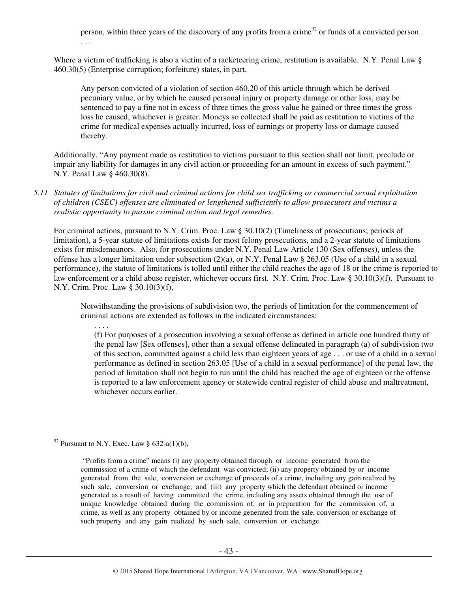person, within three years of the discovery of any profits from a crime<sup>92</sup> or funds of a convicted person. . . .

Where a victim of trafficking is also a victim of a racketeering crime, restitution is available. N.Y. Penal Law § 460.30(5) (Enterprise corruption; forfeiture) states, in part,

Any person convicted of a violation of section 460.20 of this article through which he derived pecuniary value, or by which he caused personal injury or property damage or other loss, may be sentenced to pay a fine not in excess of three times the gross value he gained or three times the gross loss he caused, whichever is greater. Moneys so collected shall be paid as restitution to victims of the crime for medical expenses actually incurred, loss of earnings or property loss or damage caused thereby.

Additionally, "Any payment made as restitution to victims pursuant to this section shall not limit, preclude or impair any liability for damages in any civil action or proceeding for an amount in excess of such payment." N.Y. Penal Law § 460.30(8).

*5.11 Statutes of limitations for civil and criminal actions for child sex trafficking or commercial sexual exploitation of children (CSEC) offenses are eliminated or lengthened sufficiently to allow prosecutors and victims a realistic opportunity to pursue criminal action and legal remedies.* 

For criminal actions, pursuant to N.Y. Crim. Proc. Law § 30.10(2) (Timeliness of prosecutions; periods of limitation), a 5-year statute of limitations exists for most felony prosecutions, and a 2-year statute of limitations exists for misdemeanors. Also, for prosecutions under N.Y. Penal Law Article 130 (Sex offenses), unless the offense has a longer limitation under subsection (2)(a), or N.Y. Penal Law § 263.05 (Use of a child in a sexual performance), the statute of limitations is tolled until either the child reaches the age of 18 or the crime is reported to law enforcement or a child abuse register, whichever occurs first. N.Y. Crim. Proc. Law § 30.10(3)(f). Pursuant to N.Y. Crim. Proc. Law § 30.10(3)(f),

Notwithstanding the provisions of subdivision two, the periods of limitation for the commencement of criminal actions are extended as follows in the indicated circumstances:

. . . .

(f) For purposes of a prosecution involving a sexual offense as defined in article one hundred thirty of the penal law [Sex offenses], other than a sexual offense delineated in paragraph (a) of subdivision two of this section, committed against a child less than eighteen years of age . . . or use of a child in a sexual performance as defined in section 263.05 [Use of a child in a sexual performance] of the penal law, the period of limitation shall not begin to run until the child has reached the age of eighteen or the offense is reported to a law enforcement agency or statewide central register of child abuse and maltreatment, whichever occurs earlier.

<sup>&</sup>lt;sup>92</sup> Pursuant to N.Y. Exec. Law § 632-a(1)(b),

 <sup>&</sup>quot;Profits from a crime" means (i) any property obtained through or income generated from the commission of a crime of which the defendant was convicted; (ii) any property obtained by or income generated from the sale, conversion or exchange of proceeds of a crime, including any gain realized by such sale, conversion or exchange; and (iii) any property which the defendant obtained or income generated as a result of having committed the crime, including any assets obtained through the use of unique knowledge obtained during the commission of, or in preparation for the commission of, a crime, as well as any property obtained by or income generated from the sale, conversion or exchange of such property and any gain realized by such sale, conversion or exchange.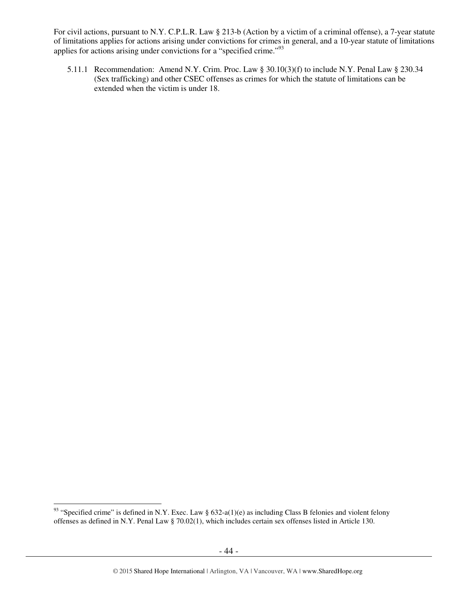For civil actions, pursuant to N.Y. C.P.L.R. Law § 213-b (Action by a victim of a criminal offense), a 7-year statute of limitations applies for actions arising under convictions for crimes in general, and a 10-year statute of limitations applies for actions arising under convictions for a "specified crime."<sup>93</sup>

5.11.1 Recommendation: Amend N.Y. Crim. Proc. Law § 30.10(3)(f) to include N.Y. Penal Law § 230.34 (Sex trafficking) and other CSEC offenses as crimes for which the statute of limitations can be extended when the victim is under 18.

<sup>&</sup>lt;sup>93</sup> "Specified crime" is defined in N.Y. Exec. Law § 632-a(1)(e) as including Class B felonies and violent felony offenses as defined in N.Y. Penal Law § 70.02(1), which includes certain sex offenses listed in Article 130.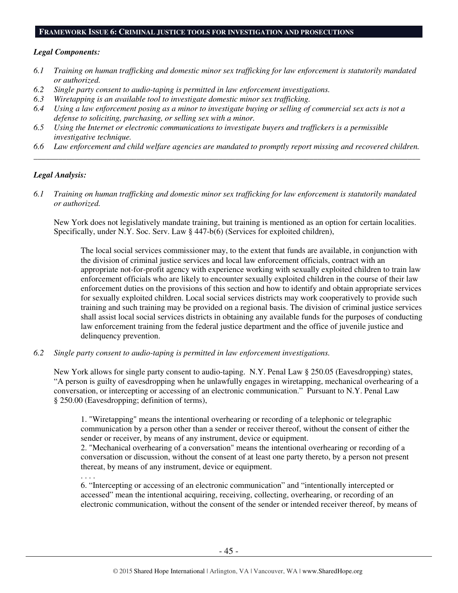#### **FRAMEWORK ISSUE 6: CRIMINAL JUSTICE TOOLS FOR INVESTIGATION AND PROSECUTIONS**

#### *Legal Components:*

- *6.1 Training on human trafficking and domestic minor sex trafficking for law enforcement is statutorily mandated or authorized.*
- *6.2 Single party consent to audio-taping is permitted in law enforcement investigations.*
- *6.3 Wiretapping is an available tool to investigate domestic minor sex trafficking.*
- *6.4 Using a law enforcement posing as a minor to investigate buying or selling of commercial sex acts is not a defense to soliciting, purchasing, or selling sex with a minor.*
- *6.5 Using the Internet or electronic communications to investigate buyers and traffickers is a permissible investigative technique.*
- *6.6 Law enforcement and child welfare agencies are mandated to promptly report missing and recovered children. \_\_\_\_\_\_\_\_\_\_\_\_\_\_\_\_\_\_\_\_\_\_\_\_\_\_\_\_\_\_\_\_\_\_\_\_\_\_\_\_\_\_\_\_\_\_\_\_\_\_\_\_\_\_\_\_\_\_\_\_\_\_\_\_\_\_\_\_\_\_\_\_\_\_\_\_\_\_\_\_\_\_\_\_\_\_\_\_\_\_\_\_\_\_*

# *Legal Analysis:*

*6.1 Training on human trafficking and domestic minor sex trafficking for law enforcement is statutorily mandated or authorized.* 

New York does not legislatively mandate training, but training is mentioned as an option for certain localities. Specifically, under N.Y. Soc. Serv. Law § 447-b(6) (Services for exploited children),

The local social services commissioner may, to the extent that funds are available, in conjunction with the division of criminal justice services and local law enforcement officials, contract with an appropriate not-for-profit agency with experience working with sexually exploited children to train law enforcement officials who are likely to encounter sexually exploited children in the course of their law enforcement duties on the provisions of this section and how to identify and obtain appropriate services for sexually exploited children. Local social services districts may work cooperatively to provide such training and such training may be provided on a regional basis. The division of criminal justice services shall assist local social services districts in obtaining any available funds for the purposes of conducting law enforcement training from the federal justice department and the office of juvenile justice and delinquency prevention.

*6.2 Single party consent to audio-taping is permitted in law enforcement investigations.* 

New York allows for single party consent to audio-taping. N.Y. Penal Law § 250.05 (Eavesdropping) states, "A person is guilty of eavesdropping when he unlawfully engages in wiretapping, mechanical overhearing of a conversation, or intercepting or accessing of an electronic communication." Pursuant to N.Y. Penal Law § 250.00 (Eavesdropping; definition of terms),

1. "Wiretapping" means the intentional overhearing or recording of a telephonic or telegraphic communication by a person other than a sender or receiver thereof, without the consent of either the sender or receiver, by means of any instrument, device or equipment.

2. "Mechanical overhearing of a conversation" means the intentional overhearing or recording of a conversation or discussion, without the consent of at least one party thereto, by a person not present thereat, by means of any instrument, device or equipment.

. . . .

6. "Intercepting or accessing of an electronic communication" and "intentionally intercepted or accessed" mean the intentional acquiring, receiving, collecting, overhearing, or recording of an electronic communication, without the consent of the sender or intended receiver thereof, by means of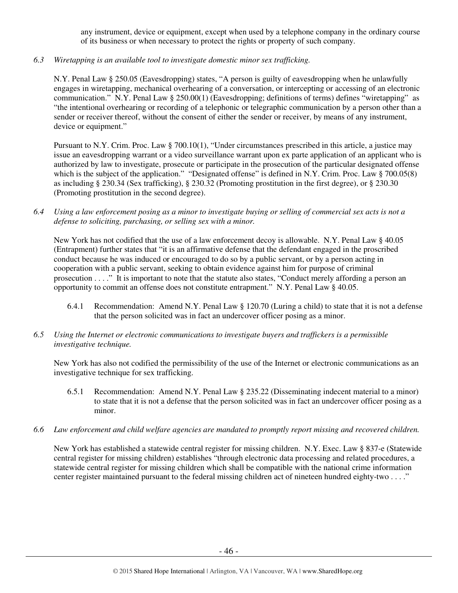any instrument, device or equipment, except when used by a telephone company in the ordinary course of its business or when necessary to protect the rights or property of such company.

# *6.3 Wiretapping is an available tool to investigate domestic minor sex trafficking.*

N.Y. Penal Law § 250.05 (Eavesdropping) states, "A person is guilty of eavesdropping when he unlawfully engages in wiretapping, mechanical overhearing of a conversation, or intercepting or accessing of an electronic communication." N.Y. Penal Law § 250.00(1) (Eavesdropping; definitions of terms) defines "wiretapping" as "the intentional overhearing or recording of a telephonic or telegraphic communication by a person other than a sender or receiver thereof, without the consent of either the sender or receiver, by means of any instrument, device or equipment."

Pursuant to N.Y. Crim. Proc. Law § 700.10(1), "Under circumstances prescribed in this article, a justice may issue an eavesdropping warrant or a video surveillance warrant upon ex parte application of an applicant who is authorized by law to investigate, prosecute or participate in the prosecution of the particular designated offense which is the subject of the application." "Designated offense" is defined in N.Y. Crim. Proc. Law § 700.05(8) as including § 230.34 (Sex trafficking), § 230.32 (Promoting prostitution in the first degree), or § 230.30 (Promoting prostitution in the second degree).

*6.4 Using a law enforcement posing as a minor to investigate buying or selling of commercial sex acts is not a defense to soliciting, purchasing, or selling sex with a minor.* 

New York has not codified that the use of a law enforcement decoy is allowable. N.Y. Penal Law § 40.05 (Entrapment) further states that "it is an affirmative defense that the defendant engaged in the proscribed conduct because he was induced or encouraged to do so by a public servant, or by a person acting in cooperation with a public servant, seeking to obtain evidence against him for purpose of criminal prosecution . . . ." It is important to note that the statute also states, "Conduct merely affording a person an opportunity to commit an offense does not constitute entrapment." N.Y. Penal Law § 40.05.

- 6.4.1 Recommendation: Amend N.Y. Penal Law § 120.70 (Luring a child) to state that it is not a defense that the person solicited was in fact an undercover officer posing as a minor.
- *6.5 Using the Internet or electronic communications to investigate buyers and traffickers is a permissible investigative technique.*

New York has also not codified the permissibility of the use of the Internet or electronic communications as an investigative technique for sex trafficking.

- 6.5.1 Recommendation: Amend N.Y. Penal Law § 235.22 (Disseminating indecent material to a minor) to state that it is not a defense that the person solicited was in fact an undercover officer posing as a minor.
- *6.6 Law enforcement and child welfare agencies are mandated to promptly report missing and recovered children.*

New York has established a statewide central register for missing children. N.Y. Exec. Law § 837-e (Statewide central register for missing children) establishes "through electronic data processing and related procedures, a statewide central register for missing children which shall be compatible with the national crime information center register maintained pursuant to the federal missing children act of nineteen hundred eighty-two . . . ."